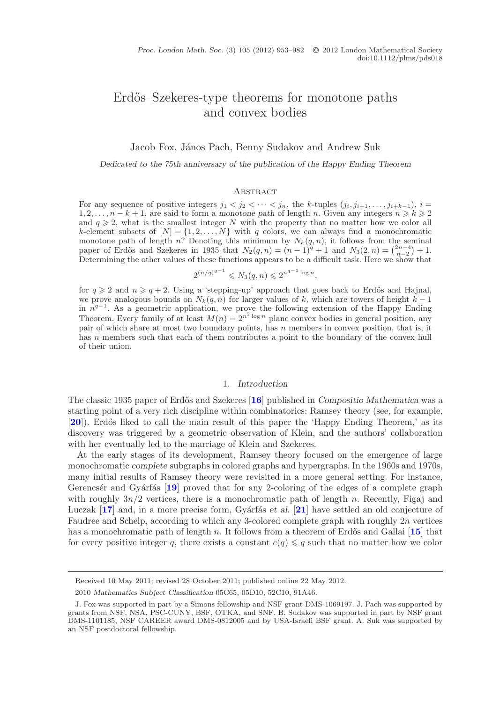# <span id="page-0-0"></span>Erdős–Szekeres-type theorems for monotone paths and convex bodies

Jacob Fox, János Pach, Benny Sudakov and Andrew Suk

*Dedicated to the 75th anniversary of the publication of the Happy Ending Theorem*

#### **ABSTRACT**

For any sequence of positive integers  $j_1 < j_2 < \cdots < j_n$ , the *k*-tuples  $(j_i, j_{i+1}, \ldots, j_{i+k-1}), i =$ 1, 2,...,  $n - k + 1$ , are said to form a *monotone path* of length *n*. Given any integers  $n \ge k \ge 2$ and  $q \geqslant 2$ , what is the smallest integer *N* with the property that no matter how we color all *k*-element subsets of  $[N] = \{1, 2, ..., N\}$  with *q* colors, we can always find a monochromatic monotone path of length *n*? Denoting this minimum by  $N_k(q, n)$ , it follows from the seminal paper of Erdős and Szekeres in 1935 that  $N_2(q, n) = (n-1)^q + 1$  and  $N_3(2, n) = \binom{2n-4}{n-2} + 1$ . Determining the other values of these functions appears to be a difficult task. Here we show that

$$
2^{(n/q)^{q-1}} \leq N_3(q, n) \leq 2^{n^{q-1} \log n},
$$

for  $q \ge 2$  and  $n \ge q+2$ . Using a 'stepping-up' approach that goes back to Erdős and Hajnal, we prove analogous bounds on  $N_k(q, n)$  for larger values of k, which are towers of height  $k-1$ in *n<sup>q</sup>−*1. As a geometric application, we prove the following extension of the Happy Ending Theorem. Every family of at least  $M(n) = 2^{n^2 \log n}$  plane convex bodies in general position, any pair of which share at most two boundary points, has *n* members in convex position, that is, it has *n* members such that each of them contributes a point to the boundary of the convex hull of their union.

#### 1. *Introduction*

The classic 1935 paper of Erdős and Szekeres [[16](#page-28-0)] published in *Compositio Mathematica* was a starting point of a very rich discipline within combinatorics: Ramsey theory (see, for example, [[20](#page-28-1)]). Erdős liked to call the main result of this paper the 'Happy Ending Theorem,' as its discovery was triggered by a geometric observation of Klein, and the authors' collaboration with her eventually led to the marriage of Klein and Szekeres.

At the early stages of its development, Ramsey theory focused on the emergence of large monochromatic *complete* subgraphs in colored graphs and hypergraphs. In the 1960s and 1970s, many initial results of Ramsey theory were revisited in a more general setting. For instance, Gerencs' er and Gyárfás [[19](#page-28-2)] proved that for any 2-coloring of the edges of a complete graph with roughly  $3n/2$  vertices, there is a monochromatic path of length n. Recently, Figaj and Luczak [[17](#page-28-3)] and, in a more precise form, Gyárfás *et al.* [[21](#page-28-4)] have settled an old conjecture of Faudree and Schelp, according to which any 3-colored complete graph with roughly  $2n$  vertices has a monochromatic path of length n. It follows from a theorem of Erdős and Gallai [[15](#page-28-5)] that for every positive integer q, there exists a constant  $c(q) \leqslant q$  such that no matter how we color

Received 10 May 2011; revised 28 October 2011; published online 22 May 2012.

<sup>2010</sup> *Mathematics Subject Classification* 05C65, 05D10, 52C10, 91A46.

J. Fox was supported in part by a Simons fellowship and NSF grant DMS-1069197. J. Pach was supported by grants from NSF, NSA, PSC-CUNY, BSF, OTKA, and SNF. B. Sudakov was supported in part by NSF grant DMS-1101185, NSF CAREER award DMS-0812005 and by USA-Israeli BSF grant. A. Suk was supported by an NSF postdoctoral fellowship.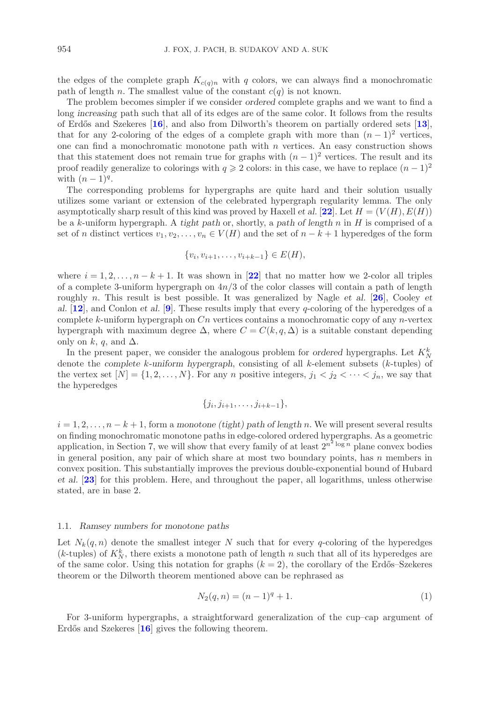the edges of the complete graph  $K_{c(q)n}$  with q colors, we can always find a monochromatic path of length n. The smallest value of the constant  $c(q)$  is not known.

The problem becomes simpler if we consider *ordered* complete graphs and we want to find a long *increasing* path such that all of its edges are of the same color. It follows from the results of Erd˝os and Szekeres [**[16](#page-28-0)**], and also from Dilworth's theorem on partially ordered sets [**[13](#page-28-6)**], that for any 2-coloring of the edges of a complete graph with more than  $(n-1)^2$  vertices, one can find a monochromatic monotone path with  $n$  vertices. An easy construction shows that this statement does not remain true for graphs with  $(n-1)^2$  vertices. The result and its proof readily generalize to colorings with  $q \geq 2$  colors: in this case, we have to replace  $(n-1)^2$ with  $(n-1)^q$ .

The corresponding problems for hypergraphs are quite hard and their solution usually utilizes some variant or extension of the celebrated hypergraph regularity lemma. The only asymptotically sharp result of this kind was proved by Haxell *et al.* [[22](#page-28-7)]. Let  $H = (V(H), E(H))$ be a k-uniform hypergraph. A *tight path* or, shortly, a *path of length* n in H is comprised of a set of n distinct vertices  $v_1, v_2, \ldots, v_n \in V(H)$  and the set of  $n - k + 1$  hyperedges of the form

$$
\{v_i, v_{i+1}, \dots, v_{i+k-1}\} \in E(H),
$$

where  $i = 1, 2, \ldots, n - k + 1$ . It was shown in [[22](#page-28-7)] that no matter how we 2-color all triples of a complete 3-uniform hypergraph on  $4n/3$  of the color classes will contain a path of length roughly n. This result is best possible. It was generalized by Nagle *et al.* [**[26](#page-28-8)**], Cooley *et al.* [**[12](#page-28-9)**], and Conlon *et al.* [**[9](#page-28-10)**]. These results imply that every q-coloring of the hyperedges of a complete k-uniform hypergraph on  $C_n$  vertices contains a monochromatic copy of any n-vertex hypergraph with maximum degree  $\Delta$ , where  $C = C(k, q, \Delta)$  is a suitable constant depending only on k, q, and  $\Delta$ .

In the present paper, we consider the analogous problem for *ordered* hypergraphs. Let  $K_N^k$ denote the *complete* k*-uniform hypergraph*, consisting of all k-element subsets (k-tuples) of the vertex set  $[N] = \{1, 2, \ldots, N\}$ . For any *n* positive integers,  $j_1 < j_2 < \cdots < j_n$ , we say that the hyperedges

$$
\{j_i, j_{i+1}, \ldots, j_{i+k-1}\},\
$$

 $i = 1, 2, \ldots, n - k + 1$ , form a monotone (tight) path of length n. We will present several results on finding monochromatic monotone paths in edge-colored ordered hypergraphs. As a geometric application, in Section 7, we will show that every family of at least  $2^{n^2 \log n}$  plane convex bodies in general position, any pair of which share at most two boundary points, has  $n$  members in convex position. This substantially improves the previous double-exponential bound of Hubard *et al.* [**[23](#page-28-11)**] for this problem. Here, and throughout the paper, all logarithms, unless otherwise stated, are in base 2.

## 1.1. *Ramsey numbers for monotone paths*

Let  $N_k(q, n)$  denote the smallest integer N such that for every q-coloring of the hyperedges  $(k$ -tuples) of  $K_N^k$ , there exists a monotone path of length n such that all of its hyperedges are of the same color. Using this notation for graphs  $(k = 2)$ , the corollary of the Erdős–Szekeres theorem or the Dilworth theorem mentioned above can be rephrased as

<span id="page-1-0"></span>
$$
N_2(q, n) = (n - 1)^q + 1.
$$
\n(1)

For 3-uniform hypergraphs, a straightforward generalization of the cup–cap argument of Erdős and Szekeres [[16](#page-28-0)] gives the following theorem.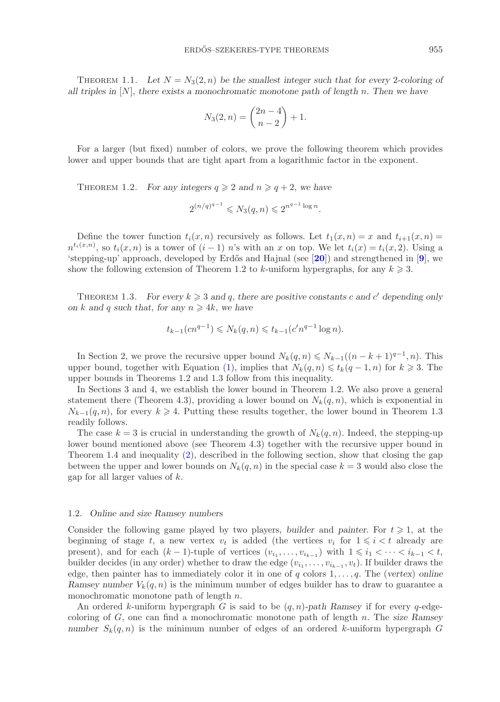THEOREM 1.1. Let  $N = N_3(2, n)$  be the smallest integer such that for every 2-coloring of *all triples in* [N], *there exists a monochromatic monotone path of length* n*. Then we have*

$$
N_3(2, n) = \binom{2n-4}{n-2} + 1.
$$

For a larger (but fixed) number of colors, we prove the following theorem which provides lower and upper bounds that are tight apart from a logarithmic factor in the exponent.

THEOREM 1.2. *For any integers*  $q \ge 2$  *and*  $n \ge q + 2$ *, we have* 

$$
2^{(n/q)^{q-1}} \leq N_3(q, n) \leq 2^{n^{q-1} \log n}.
$$

Define the tower function  $t_i(x, n)$  recursively as follows. Let  $t_1(x, n) = x$  and  $t_{i+1}(x, n) =$  $n^{t_i(x,n)}$ , so  $t_i(x,n)$  is a tower of  $(i-1)$  n's with an x on top. We let  $t_i(x) = t_i(x, 2)$ . Using a 'stepping-up' approach, developed by Erd˝os and Hajnal (see [**[20](#page-28-1)**]) and strengthened in [**[9](#page-28-10)**], we show the following extension of Theorem 1.2 to k-uniform hypergraphs, for any  $k \geq 3$ .

THEOREM 1.3. *For every*  $k \geqslant 3$  *and* q, there are positive constants c and c' depending only *on*  $k$  and  $q$  *such that, for any*  $n \geq 4k$ , *we have* 

$$
t_{k-1}(cn^{q-1}) \leq N_k(q,n) \leq t_{k-1}(c'n^{q-1}\log n).
$$

In Section 2, we prove the recursive upper bound  $N_k(q, n) \leq N_{k-1}((n - k + 1)^{q-1}, n)$ . This upper bound, together with Equation [\(1\)](#page-1-0), implies that  $N_k(q,n) \leq t_k(q-1,n)$  for  $k \geq 3$ . The upper bounds in Theorems 1.2 and 1.3 follow from this inequality.

In Sections 3 and 4, we establish the lower bound in Theorem 1.2. We also prove a general statement there (Theorem 4.3), providing a lower bound on  $N_k(q, n)$ , which is exponential in  $N_{k-1}(q, n)$ , for every  $k \geq 4$ . Putting these results together, the lower bound in Theorem 1.3 readily follows.

The case  $k = 3$  is crucial in understanding the growth of  $N_k(q, n)$ . Indeed, the stepping-up lower bound mentioned above (see Theorem 4.3) together with the recursive upper bound in Theorem 1.4 and inequality [\(2\)](#page-3-0), described in the following section, show that closing the gap between the upper and lower bounds on  $N_k(q, n)$  in the special case  $k = 3$  would also close the gap for all larger values of k.

# 1.2. *Online and size Ramsey numbers*

Consider the following game played by two players, *builder* and *painter*. For  $t \geq 1$ , at the beginning of stage t, a new vertex  $v_t$  is added (the vertices  $v_i$  for  $1 \leq i \leq t$  already are present), and for each  $(k-1)$ -tuple of vertices  $(v_{i_1},...,v_{i_{k-1}})$  with  $1 \leq i_1 < \cdots < i_{k-1} < t$ , builder decides (in any order) whether to draw the edge  $(v_{i_1},...,v_{i_{k-1}},v_t)$ . If builder draws the edge, then painter has to immediately color it in one of q colors 1,...,q. The (*vertex*) *online Ramsey number*  $V_k(q, n)$  is the minimum number of edges builder has to draw to guarantee a monochromatic monotone path of length n.

An ordered k-uniform hypergraph G is said to be (q, n)*-path Ramsey* if for every q-edgecoloring of G, one can find a monochromatic monotone path of length n. The *size Ramsey number*  $S_k(q, n)$  is the minimum number of edges of an ordered k-uniform hypergraph G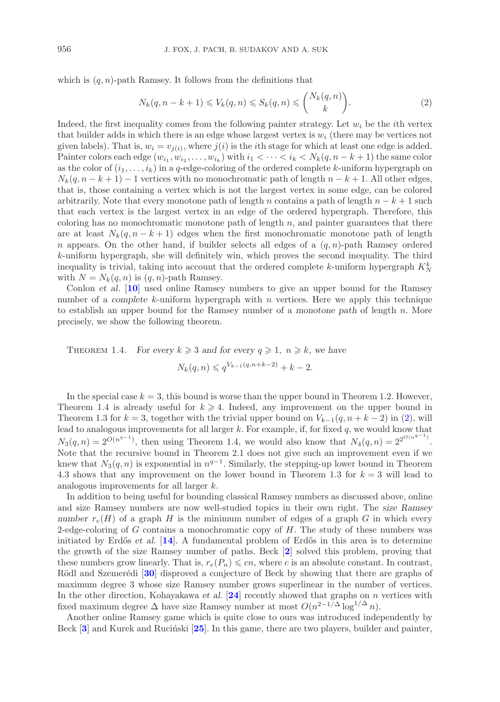which is  $(q, n)$ -path Ramsey. It follows from the definitions that

<span id="page-3-0"></span>
$$
N_k(q, n - k + 1) \leqslant V_k(q, n) \leqslant S_k(q, n) \leqslant {N_k(q, n) \choose k}.
$$
\n
$$
(2)
$$

Indeed, the first inequality comes from the following painter strategy. Let  $w_i$  be the *i*<sup>th</sup> vertex that builder adds in which there is an edge whose largest vertex is  $w_i$  (there may be vertices not given labels). That is,  $w_i = v_{i(i)}$ , where  $j(i)$  is the *i*th stage for which at least one edge is added. Painter colors each edge  $(w_{i_1}, w_{i_2}, \ldots, w_{i_k})$  with  $i_1 < \cdots < i_k < N_k(q, n-k+1)$  the same color as the color of  $(i_1,\ldots,i_k)$  in a q-edge-coloring of the ordered complete k-uniform hypergraph on  $N_k(q, n-k+1) - 1$  vertices with no monochromatic path of length  $n-k+1$ . All other edges, that is, those containing a vertex which is not the largest vertex in some edge, can be colored arbitrarily. Note that every monotone path of length n contains a path of length  $n - k + 1$  such that each vertex is the largest vertex in an edge of the ordered hypergraph. Therefore, this coloring has no monochromatic monotone path of length  $n$ , and painter guarantees that there are at least  $N_k(q, n-k+1)$  edges when the first monochromatic monotone path of length n appears. On the other hand, if builder selects all edges of a  $(q, n)$ -path Ramsey ordered k-uniform hypergraph, she will definitely win, which proves the second inequality. The third inequality is trivial, taking into account that the ordered complete k-uniform hypergraph  $K_N^k$ with  $N = N_k(q, n)$  is  $(q, n)$ -path Ramsey.

Conlon *et al*. [**[10](#page-28-12)**] used online Ramsey numbers to give an upper bound for the Ramsey number of a *complete* k-uniform hypergraph with n vertices. Here we apply this technique to establish an upper bound for the Ramsey number of a *monotone path* of length n. More precisely, we show the following theorem.

THEOREM 1.4. *For every*  $k \ge 3$  *and for every*  $q \ge 1$ ,  $n \ge k$ , we have

 $N_k(q, n) \leqslant q^{V_{k-1}(q, n+k-2)} + k - 2.$ 

In the special case  $k = 3$ , this bound is worse than the upper bound in Theorem 1.2. However, Theorem 1.4 is already useful for  $k \geq 4$ . Indeed, any improvement on the upper bound in Theorem 1.3 for  $k = 3$ , together with the trivial upper bound on  $V_{k-1}(q, n+k-2)$  in [\(2\)](#page-3-0), will lead to analogous improvements for all larger  $k$ . For example, if, for fixed  $q$ , we would know that  $N_3(q,n)=2^{O(n^{q-1})}$ , then using Theorem 1.4, we would also know that  $N_4(q,n)=2^{O(n^{q-1})}$ . Note that the recursive bound in Theorem 2.1 does not give such an improvement even if we knew that  $N_3(q, n)$  is exponential in  $n^{q-1}$ . Similarly, the stepping-up lower bound in Theorem 4.3 shows that any improvement on the lower bound in Theorem 1.3 for  $k = 3$  will lead to analogous improvements for all larger k.

In addition to being useful for bounding classical Ramsey numbers as discussed above, online and size Ramsey numbers are now well-studied topics in their own right. The *size Ramsey number*  $r_e(H)$  of a graph H is the minimum number of edges of a graph G in which every 2-edge-coloring of G contains a monochromatic copy of  $H$ . The study of these numbers was initiated by Erdős *et al.*  $[14]$  $[14]$  $[14]$ . A fundamental problem of Erdős in this area is to determine the growth of the size Ramsey number of paths. Beck [**[2](#page-28-14)**] solved this problem, proving that these numbers grow linearly. That is,  $r_e(P_n) \leqslant cn$ , where c is an absolute constant. In contrast, Rödl and Szemerédi [[30](#page-28-15)] disproved a conjecture of Beck by showing that there are graphs of maximum degree 3 whose size Ramsey number grows superlinear in the number of vertices. In the other direction, Kohayakawa *et al.* [**[24](#page-28-16)**] recently showed that graphs on n vertices with fixed maximum degree  $\Delta$  have size Ramsey number at most  $O(n^{2-1/\Delta} \log^{1/\Delta} n)$ .

Another online Ramsey game which is quite close to ours was introduced independently by Beck [[3](#page-28-17)] and Kurek and Rucinski [[25](#page-28-18)]. In this game, there are two players, builder and painter,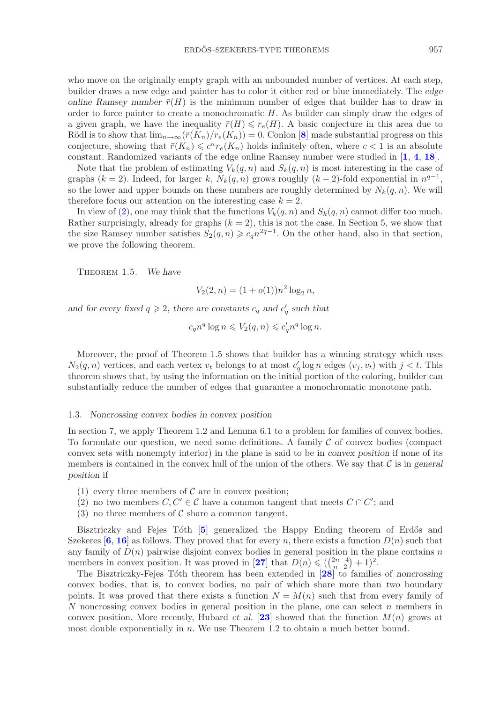who move on the originally empty graph with an unbounded number of vertices. At each step, builder draws a new edge and painter has to color it either red or blue immediately. The *edge online Ramsey number*  $\bar{r}(H)$  is the minimum number of edges that builder has to draw in order to force painter to create a monochromatic H. As builder can simply draw the edges of a given graph, we have the inequality  $\bar{r}(H) \leq r_e(H)$ . A basic conjecture in this area due to Rödl is to show that  $\lim_{n\to\infty} (\bar{r}(K_n)/r_e(K_n)) = 0$ . Conlon [[8](#page-28-19)] made substantial progress on this conjecture, showing that  $\bar{r}(K_n) \leq c^n r_e(K_n)$  holds infinitely often, where  $c < 1$  is an absolute constant. Randomized variants of the edge online Ramsey number were studied in [**[1](#page-28-20)**, **[4](#page-28-21)**, **[18](#page-28-22)**].

Note that the problem of estimating  $V_k(q, n)$  and  $S_k(q, n)$  is most interesting in the case of graphs (k = 2). Indeed, for larger k,  $N_k(q, n)$  grows roughly (k − 2)-fold exponential in  $n^{q-1}$ , so the lower and upper bounds on these numbers are roughly determined by  $N_k(q, n)$ . We will therefore focus our attention on the interesting case  $k = 2$ .

In view of [\(2\)](#page-3-0), one may think that the functions  $V_k(q, n)$  and  $S_k(q, n)$  cannot differ too much. Rather surprisingly, already for graphs  $(k = 2)$ , this is not the case. In Section 5, we show that the size Ramsey number satisfies  $S_2(q, n) \geqslant c_q n^{2q-1}$ . On the other hand, also in that section, we prove the following theorem.

Theorem 1.5. *We have*

$$
V_2(2, n) = (1 + o(1))n^2 \log_2 n,
$$

and for every fixed  $q \ge 2$ , there are constants  $c_q$  and  $c'_q$  such that

$$
c_q n^q \log n \leqslant V_2(q, n) \leqslant c'_q n^q \log n.
$$

Moreover, the proof of Theorem 1.5 shows that builder has a winning strategy which uses  $N_2(q, n)$  vertices, and each vertex  $v_t$  belongs to at most  $c'_q \log n$  edges  $(v_j, v_t)$  with  $j < t$ . This theorem shows that, by using the information on the initial portion of the coloring, builder can substantially reduce the number of edges that guarantee a monochromatic monotone path.

### 1.3. *Noncrossing convex bodies in convex position*

In section 7, we apply Theorem 1.2 and Lemma 6.1 to a problem for families of convex bodies. To formulate our question, we need some definitions. A family  $\mathcal C$  of convex bodies (compact convex sets with nonempty interior) in the plane is said to be in *convex position* if none of its members is contained in the convex hull of the union of the others. We say that C is in *general position* if

- (1) every three members of  $\mathcal C$  are in convex position;
- (2) no two members  $C, C' \in \mathcal{C}$  have a common tangent that meets  $C \cap C'$ ; and
- (3) no three members of  $\mathcal C$  share a common tangent.

Bisztriczky and Fejes Tóth [[5](#page-28-23)] generalized the Happy Ending theorem of Erdős and Szekeres  $\left[6, 16\right]$  $\left[6, 16\right]$  $\left[6, 16\right]$  $\left[6, 16\right]$  $\left[6, 16\right]$  as follows. They proved that for every n, there exists a function  $D(n)$  such that any family of  $D(n)$  pairwise disjoint convex bodies in general position in the plane contains n members in convex position. It was proved in [[27](#page-28-25)] that  $D(n) \leq {2n-4 \choose n-2} + 1)^2$ .<br>The Bisztriczky-Eejes Tóth theorem has been extended in [28] to families

The Bisztriczky-Fejes T´oth theorem has been extended in [**[28](#page-28-26)**] to families of *noncrossing* convex bodies, that is, to convex bodies, no pair of which share more than *two* boundary points. It was proved that there exists a function  $N = M(n)$  such that from every family of N noncrossing convex bodies in general position in the plane, one can select  $n$  members in convex position. More recently, Hubard *et al.* [[23](#page-28-11)] showed that the function  $M(n)$  grows at most double exponentially in n. We use Theorem 1.2 to obtain a much better bound.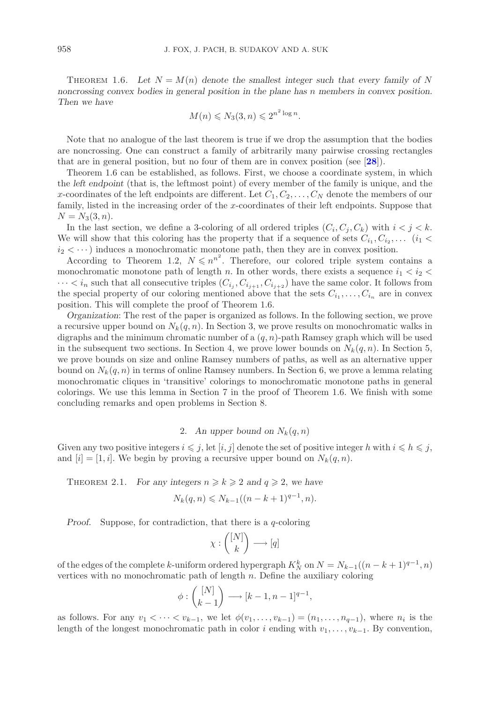THEOREM 1.6. Let  $N = M(n)$  denote the smallest integer such that every family of N *noncrossing convex bodies in general position in the plane has* n *members in convex position. Then we have*

$$
M(n) \leqslant N_3(3, n) \leqslant 2^{n^2 \log n}.
$$

Note that no analogue of the last theorem is true if we drop the assumption that the bodies are noncrossing. One can construct a family of arbitrarily many pairwise crossing rectangles that are in general position, but no four of them are in convex position (see [**[28](#page-28-26)**]).

Theorem 1.6 can be established, as follows. First, we choose a coordinate system, in which the *left endpoint* (that is, the leftmost point) of every member of the family is unique, and the x-coordinates of the left endpoints are different. Let  $C_1, C_2, \ldots, C_N$  denote the members of our family, listed in the increasing order of the x-coordinates of their left endpoints. Suppose that  $N = N_3(3, n).$ 

In the last section, we define a 3-coloring of all ordered triples  $(C_i, C_i, C_k)$  with  $i < j < k$ . We will show that this coloring has the property that if a sequence of sets  $C_{i_1}, C_{i_2}, \ldots$  ( $i_1$  <  $i_2 < \cdots$ ) induces a monochromatic monotone path, then they are in convex position.

According to Theorem 1.2,  $N \leq n^{n^2}$ . Therefore, our colored triple system contains a monochromatic monotone path of length n. In other words, there exists a sequence  $i_1 < i_2$  $\cdots < i_n$  such that all consecutive triples  $(C_{i_j}, C_{i_{j+1}}, C_{i_{j+2}})$  have the same color. It follows from the special property of our coloring mentioned above that the sets  $C_{i_1}, \ldots, C_{i_n}$  are in convex position. This will complete the proof of Theorem 1.6.

*Organization*: The rest of the paper is organized as follows. In the following section, we prove a recursive upper bound on  $N_k(q, n)$ . In Section 3, we prove results on monochromatic walks in digraphs and the minimum chromatic number of a  $(q, n)$ -path Ramsey graph which will be used in the subsequent two sections. In Section 4, we prove lower bounds on  $N_k(q, n)$ . In Section 5, we prove bounds on size and online Ramsey numbers of paths, as well as an alternative upper bound on  $N_k(q, n)$  in terms of online Ramsey numbers. In Section 6, we prove a lemma relating monochromatic cliques in 'transitive' colorings to monochromatic monotone paths in general colorings. We use this lemma in Section 7 in the proof of Theorem 1.6. We finish with some concluding remarks and open problems in Section 8.

## 2. An upper bound on  $N_k(q, n)$

Given any two positive integers  $i \leq j$ , let  $[i, j]$  denote the set of positive integer h with  $i \leq h \leq j$ , and  $[i] = [1, i]$ . We begin by proving a recursive upper bound on  $N_k(q, n)$ .

THEOREM 2.1. *For any integers*  $n \ge k \ge 2$  *and*  $q \ge 2$ *, we have* 

$$
N_k(q, n) \leq N_{k-1}((n-k+1)^{q-1}, n).
$$

*Proof.* Suppose, for contradiction, that there is a q-coloring

$$
\chi:\binom{[N]}{k}\longrightarrow[q]
$$

of the edges of the complete k-uniform ordered hypergraph  $K_N^k$  on  $N = N_{k-1}((n-k+1)^{q-1}, n)$ vertices with no monochromatic path of length  $n$ . Define the auxiliary coloring

$$
\phi: \binom{[N]}{k-1} \longrightarrow [k-1, n-1]^{q-1},
$$

as follows. For any  $v_1 < \cdots < v_{k-1}$ , we let  $\phi(v_1,\ldots,v_{k-1})=(n_1,\ldots,n_{q-1})$ , where  $n_i$  is the length of the longest monochromatic path in color i ending with  $v_1, \ldots, v_{k-1}$ . By convention,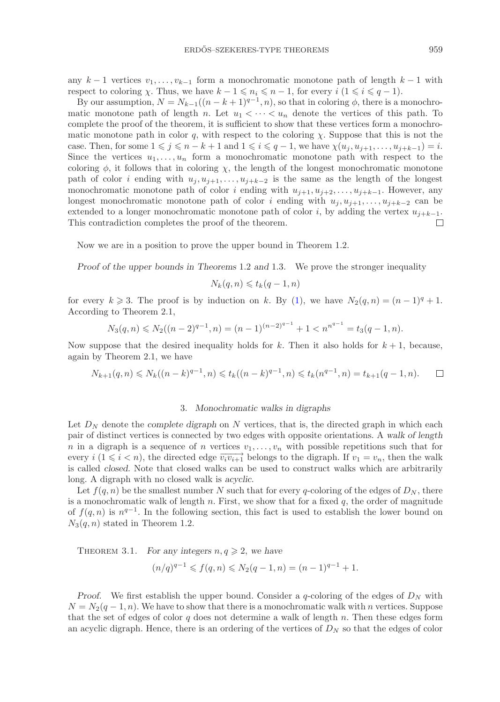any  $k-1$  vertices  $v_1, \ldots, v_{k-1}$  form a monochromatic monotone path of length  $k-1$  with respect to coloring  $\chi$ . Thus, we have  $k - 1 \leq n_i \leq n - 1$ , for every  $i \ (1 \leq i \leq q - 1)$ .

By our assumption,  $N = N_{k-1}((n-k+1)^{q-1}, n)$ , so that in coloring  $\phi$ , there is a monochromatic monotone path of length n. Let  $u_1 < \cdots < u_n$  denote the vertices of this path. To complete the proof of the theorem, it is sufficient to show that these vertices form a monochromatic monotone path in color q, with respect to the coloring  $\chi$ . Suppose that this is not the case. Then, for some  $1 \leq j \leq n - k + 1$  and  $1 \leq i \leq q - 1$ , we have  $\chi(u_j, u_{j+1}, \ldots, u_{j+k-1}) = i$ . Since the vertices  $u_1, \ldots, u_n$  form a monochromatic monotone path with respect to the coloring  $\phi$ , it follows that in coloring  $\chi$ , the length of the longest monochromatic monotone path of color i ending with  $u_j, u_{j+1}, \ldots, u_{j+k-2}$  is the same as the length of the longest monochromatic monotone path of color i ending with  $u_{j+1}, u_{j+2}, \ldots, u_{j+k-1}$ . However, any longest monochromatic monotone path of color i ending with  $u_j, u_{j+1}, \ldots, u_{j+k-2}$  can be extended to a longer monochromatic monotone path of color *i*, by adding the vertex  $u_{j+k-1}$ .<br>This contradiction completes the proof of the theorem. This contradiction completes the proof of the theorem.

Now we are in a position to prove the upper bound in Theorem 1.2.

*Proof of the upper bounds in Theorems* 1.2 *and* 1.3*.* We prove the stronger inequality

$$
N_k(q, n) \leqslant t_k(q - 1, n)
$$

for every  $k \ge 3$ . The proof is by induction on k. By [\(1\)](#page-1-0), we have  $N_2(q, n) = (n - 1)^q + 1$ . According to Theorem 2.1,

$$
N_3(q,n) \leq N_2((n-2)^{q-1},n) = (n-1)^{(n-2)^{q-1}} + 1 < n^{n^{q-1}} = t_3(q-1,n).
$$

Now suppose that the desired inequality holds for k. Then it also holds for  $k + 1$ , because, again by Theorem 2.1, we have

$$
N_{k+1}(q,n) \leq N_k((n-k)^{q-1},n) \leq t_k((n-k)^{q-1},n) \leq t_k(n^{q-1},n) = t_{k+1}(q-1,n). \qquad \Box
$$

## 3. *Monochromatic walks in digraphs*

Let  $D<sub>N</sub>$  denote the *complete digraph* on N vertices, that is, the directed graph in which each pair of distinct vertices is connected by two edges with opposite orientations. A *walk of length* n in a digraph is a sequence of n vertices  $v_1, \ldots, v_n$  with possible repetitions such that for every  $i$  (1  $\leq i < n$ ), the directed edge  $\overrightarrow{v_i v_{i+1}}$  belongs to the digraph. If  $v_1 = v_n$ , then the walk is called *closed*. Note that closed walks can be used to construct walks which are arbitrarily long. A digraph with no closed walk is *acyclic*.

Let  $f(q, n)$  be the smallest number N such that for every q-coloring of the edges of  $D<sub>N</sub>$ , there is a monochromatic walk of length n. First, we show that for a fixed  $q$ , the order of magnitude of  $f(q, n)$  is  $n^{q-1}$ . In the following section, this fact is used to establish the lower bound on  $N_3(q, n)$  stated in Theorem 1.2.

THEOREM 3.1. *For any integers*  $n, q \ge 2$ , we have

$$
(n/q)^{q-1} \leq f(q,n) \leq N_2(q-1,n) = (n-1)^{q-1} + 1.
$$

*Proof.* We first establish the upper bound. Consider a q-coloring of the edges of  $D<sub>N</sub>$  with  $N = N_2(q-1, n)$ . We have to show that there is a monochromatic walk with n vertices. Suppose that the set of edges of color  $q$  does not determine a walk of length  $n$ . Then these edges form an acyclic digraph. Hence, there is an ordering of the vertices of D*<sup>N</sup>* so that the edges of color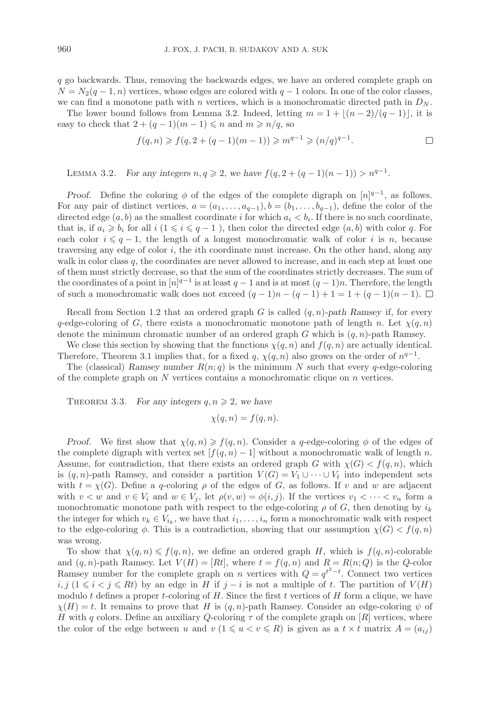q go backwards. Thus, removing the backwards edges, we have an ordered complete graph on  $N = N_2(q-1, n)$  vertices, whose edges are colored with  $q-1$  colors. In one of the color classes, we can find a monotone path with n vertices, which is a monochromatic directed path in  $D<sub>N</sub>$ .

The lower bound follows from Lemma 3.2. Indeed, letting  $m = 1 + |(n - 2)/(q - 1)|$ , it is easy to check that  $2 + (q - 1)(m - 1) \leq n$  and  $m \geq n/q$ , so

$$
f(q, n) \geq f(q, 2 + (q - 1)(m - 1)) \geq m^{q - 1} \geq (n/q)^{q - 1}.
$$

LEMMA 3.2. *For any integers*  $n, q \ge 2$ , we have  $f(q, 2 + (q - 1)(n - 1)) > n^{q-1}$ .

*Proof.* Define the coloring  $\phi$  of the edges of the complete digraph on  $[n]^{q-1}$ , as follows. For any pair of distinct vertices,  $a = (a_1, \ldots, a_{q-1}), b = (b_1, \ldots, b_{q-1}),$  define the color of the directed edge  $(a, b)$  as the smallest coordinate i for which  $a_i < b_i$ . If there is no such coordinate, that is, if  $a_i \geqslant b_i$  for all  $i$  ( $1 \leqslant i \leqslant q - 1$ ), then color the directed edge  $(a, b)$  with color q. For each color  $i \leq q - 1$ , the length of a longest monochromatic walk of color i is n, because traversing any edge of color  $i$ , the *i*th coordinate must increase. On the other hand, along any walk in color class  $q$ , the coordinates are never allowed to increase, and in each step at least one of them must strictly decrease, so that the sum of the coordinates strictly decreases. The sum of the coordinates of a point in  $[n]^{q-1}$  is at least  $q-1$  and is at most  $(q-1)n$ . Therefore, the length of such a monochromatic walk does not exceed  $(q-1)n - (q-1) + 1 = 1 + (q-1)(n-1)$ .  $\Box$ 

Recall from Section 1.2 that an ordered graph G is called (q, n)*-path Ramsey* if, for every q-edge-coloring of G, there exists a monochromatic monotone path of length n. Let  $\chi(q, n)$ denote the minimum chromatic number of an ordered graph G which is  $(q, n)$ -path Ramsey.

We close this section by showing that the functions  $\chi(q, n)$  and  $f(q, n)$  are actually identical. Therefore, Theorem 3.1 implies that, for a fixed q,  $\chi(q, n)$  also grows on the order of  $n^{q-1}$ .

The (classical) *Ramsey number*  $R(n; q)$  is the minimum N such that every q-edge-coloring of the complete graph on  $N$  vertices contains a monochromatic clique on  $n$  vertices.

THEOREM 3.3. For any integers  $q, n \geq 2$ , we have

$$
\chi(q, n) = f(q, n).
$$

*Proof.* We first show that  $\chi(q, n) \geq f(q, n)$ . Consider a q-edge-coloring  $\phi$  of the edges of the complete digraph with vertex set  $[f(q, n) - 1]$  without a monochromatic walk of length n. Assume, for contradiction, that there exists an ordered graph G with  $\chi(G) < f(q, n)$ , which is  $(q, n)$ -path Ramsey, and consider a partition  $V(G) = V_1 \cup \cdots \cup V_t$  into independent sets with  $t = \chi(G)$ . Define a q-coloring  $\rho$  of the edges of G, as follows. If v and w are adjacent with  $v < w$  and  $v \in V_i$  and  $w \in V_j$ , let  $\rho(v, w) = \phi(i, j)$ . If the vertices  $v_1 < \cdots < v_n$  form a monochromatic monotone path with respect to the edge-coloring  $\rho$  of G, then denoting by  $i_k$ the integer for which  $v_k \in V_{i_k}$ , we have that  $i_1, \ldots, i_n$  form a monochromatic walk with respect to the edge-coloring  $\phi$ . This is a contradiction, showing that our assumption  $\chi(G) < f(q, n)$ was wrong.

To show that  $\chi(q, n) \leq f(q, n)$ , we define an ordered graph H, which is  $f(q, n)$ -colorable and  $(q, n)$ -path Ramsey. Let  $V(H)=[Rt]$ , where  $t = f(q, n)$  and  $R = R(n; Q)$  is the Q-color Ramsey number for the complete graph on *n* vertices with  $Q = q^{t^2 - t}$ . Connect two vertices *i*, *j* (1 ≤ *i* < *j* ≤ Rt) by an edge in H if *j* − *i* is not a multiple of t. The partition of  $V(H)$ modulo t defines a proper t-coloring of H. Since the first t vertices of H form a clique, we have  $\chi(H) = t$ . It remains to prove that H is  $(q, n)$ -path Ramsey. Consider an edge-coloring  $\psi$  of H with q colors. Define an auxiliary Q-coloring  $\tau$  of the complete graph on [R] vertices, where the color of the edge between u and  $v (1 \leq u \leq v \leq R)$  is given as a  $t \times t$  matrix  $A = (a_{ij})$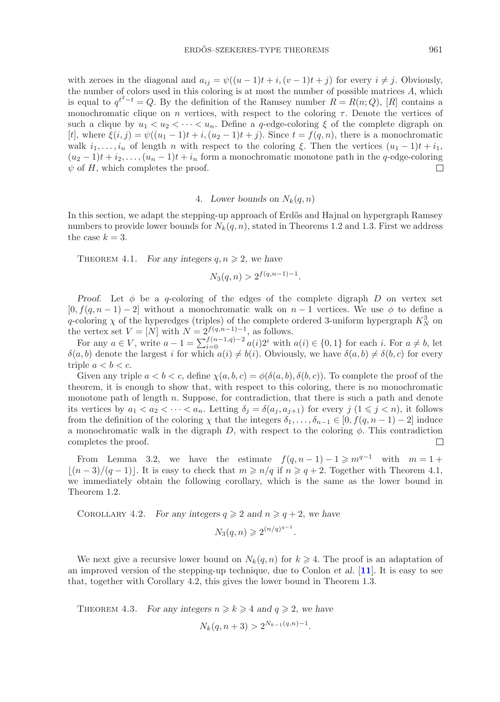with zeroes in the diagonal and  $a_{ij} = \psi((u-1)t + i, (v-1)t + j)$  for every  $i \neq j$ . Obviously, the number of colors used in this coloring is at most the number of possible matrices A, which is equal to  $q^{t^2-t} = Q$ . By the definition of the Ramsey number  $R = R(n; Q)$ , [R] contains a monochromatic clique on n vertices, with respect to the coloring  $\tau$ . Denote the vertices of such a clique by  $u_1 < u_2 < \cdots < u_n$ . Define a q-edge-coloring  $\xi$  of the complete digraph on [t], where  $\xi(i, j) = \psi((u_1 - 1)t + i, (u_2 - 1)t + j)$ . Since  $t = f(q, n)$ , there is a monochromatic walk  $i_1,\ldots,i_n$  of length n with respect to the coloring  $\xi$ . Then the vertices  $(u_1 - 1)t + i_1$ ,  $(u_2 - 1)t + i_2, \ldots, (u_n - 1)t + i_n$  form a monochromatic monotone path in the q-edge-coloring  $\psi$  of H, which completes the proof.  $\psi$  of H, which completes the proof.

## 4. *Lower bounds on*  $N_k(q, n)$

In this section, we adapt the stepping-up approach of Erdős and Hajnal on hypergraph Ramsey numbers to provide lower bounds for  $N_k(q, n)$ , stated in Theorems 1.2 and 1.3. First we address the case  $k = 3$ .

THEOREM 4.1. *For any integers*  $q, n \geq 2$ , we have

$$
N_3(q, n) > 2^{f(q, n-1)-1}.
$$

*Proof.* Let  $\phi$  be a q-coloring of the edges of the complete digraph D on vertex set  $[0, f(q, n-1) - 2]$  without a monochromatic walk on  $n-1$  vertices. We use  $\phi$  to define a q-coloring  $\chi$  of the hyperedges (triples) of the complete ordered 3-uniform hypergraph  $K_N^3$  on the vertex set  $V = [N]$  with  $N = 2^{f(q,n-1)-1}$ , as follows.

For any  $a \in V$ , write  $a - 1 = \sum_{i=0}^{f(n-1)} a(i)2^i$  with  $a(i) \in \{0, 1\}$  for each i. For  $a \neq b$ , let <br>*i* b) denote the largest i for which  $a(i) \neq b(i)$ . Obviously we have  $\delta(a, b) \neq \delta(b, c)$  for every  $\delta(a, b)$  denote the largest i for which  $a(i) \neq b(i)$ . Obviously, we have  $\delta(a, b) \neq \delta(b, c)$  for every triple  $a < b < c$ .

Given any triple  $a < b < c$ , define  $\chi(a, b, c) = \phi(\delta(a, b), \delta(b, c))$ . To complete the proof of the theorem, it is enough to show that, with respect to this coloring, there is no monochromatic monotone path of length  $n$ . Suppose, for contradiction, that there is such a path and denote its vertices by  $a_1 < a_2 < \cdots < a_n$ . Letting  $\delta_j = \delta(a_j, a_{j+1})$  for every  $j \ (1 \leq j < n)$ , it follows from the definition of the coloring  $\chi$  that the integers  $\delta_1,\ldots,\delta_{n-1} \in [0, f(q, n-1) - 2]$  induce a monochromatic walk in the digraph  $D$ , with respect to the coloring  $\phi$ . This contradiction completes the proof.  $\Box$ 

From Lemma 3.2, we have the estimate  $f(q, n-1) - 1 \geq m^{q-1}$  with  $m = 1 +$  $\lfloor (n-3)/(q-1) \rfloor$ . It is easy to check that  $m \geqslant n/q$  if  $n \geqslant q+2$ . Together with Theorem 4.1, we immediately obtain the following corollary, which is the same as the lower bound in Theorem 1.2.

COROLLARY 4.2. *For any integers*  $q \ge 2$  *and*  $n \ge q + 2$ *, we have*  $N_3(q, n) \geqslant 2^{(n/q)^{q-1}}.$ 

We next give a recursive lower bound on  $N_k(q, n)$  for  $k \geq 4$ . The proof is an adaptation of an improved version of the stepping-up technique, due to Conlon *et al*. [**[11](#page-28-27)**]. It is easy to see that, together with Corollary 4.2, this gives the lower bound in Theorem 1.3.

THEOREM 4.3. *For any integers*  $n \ge k \ge 4$  *and*  $q \ge 2$ *, we have* 

$$
N_k(q, n+3) > 2^{N_{k-1}(q,n)-1}.
$$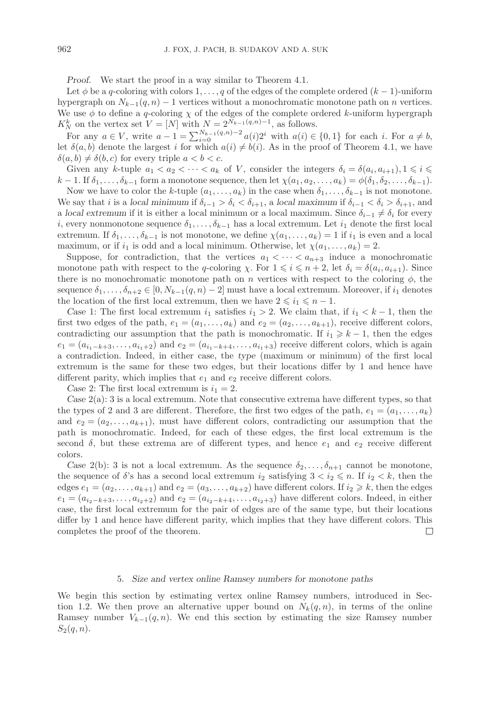*Proof.* We start the proof in a way similar to Theorem 4.1.

Let  $\phi$  be a q-coloring with colors 1,...,q of the edges of the complete ordered  $(k - 1)$ -uniform hypergraph on  $N_{k-1}(q, n) - 1$  vertices without a monochromatic monotone path on n vertices. We use  $\phi$  to define a q-coloring  $\chi$  of the edges of the complete ordered k-uniform hypergraph  $K_N^k$  on the vertex set  $V = [N]$  with  $N = 2^{N_{k-1}(q,n)-1}$ , as follows.

For any  $a \in V$ , write  $a - 1 = \sum_{i=0}^{N_k-1} (q,n)-2 \ a(i)2^i$  with  $a(i) \in \{0,1\}$  for each i. For  $a \neq b$ ,  $\delta(a, b)$  denote the largest i for which  $a(i) \neq b(i)$ . As in the proof of Theorem 4.1, we have let  $\delta(a, b)$  denote the largest i for which  $a(i) \neq b(i)$ . As in the proof of Theorem 4.1, we have  $\delta(a, b) \neq \delta(b, c)$  for every triple  $a < b < c$ .

Given any k-tuple  $a_1 < a_2 < \cdots < a_k$  of V, consider the integers  $\delta_i = \delta(a_i, a_{i+1}), 1 \leq i \leq i$  $k-1$ . If  $\delta_1,\ldots,\delta_{k-1}$  form a monotone sequence, then let  $\chi(a_1, a_2,\ldots,a_k) = \phi(\delta_1, \delta_2,\ldots,\delta_{k-1}).$ 

Now we have to color the k-tuple  $(a_1,\ldots,a_k)$  in the case when  $\delta_1,\ldots,\delta_{k-1}$  is not monotone. We say that *i* is a *local minimum* if  $\delta_{i-1} > \delta_i < \delta_{i+1}$ , a *local maximum* if  $\delta_{i-1} < \delta_i > \delta_{i+1}$ , and a *local extremum* if it is either a local minimum or a local maximum. Since  $\delta_{i-1} \neq \delta_i$  for every i, every nonmonotone sequence  $\delta_1,\ldots,\delta_{k-1}$  has a local extremum. Let  $i_1$  denote the first local extremum. If  $\delta_1,\ldots,\delta_{k-1}$  is not monotone, we define  $\chi(a_1,\ldots,a_k)=1$  if  $i_1$  is even and a local maximum, or if  $i_1$  is odd and a local minimum. Otherwise, let  $\chi(a_1,\ldots,a_k)=2$ .

Suppose, for contradiction, that the vertices  $a_1 < \cdots < a_{n+3}$  induce a monochromatic monotone path with respect to the q-coloring  $\chi$ . For  $1 \leq i \leq n + 2$ , let  $\delta_i = \delta(a_i, a_{i+1})$ . Since there is no monochromatic monotone path on n vertices with respect to the coloring  $\phi$ , the sequence  $\delta_1,\ldots,\delta_{n+2}\in[0,N_{k-1}(q,n)-2]$  must have a local extremum. Moreover, if  $i_1$  denotes the location of the first local extremum, then we have  $2 \leq i_1 \leq n - 1$ .

*Case* 1: The first local extremum  $i_1$  satisfies  $i_1 > 2$ . We claim that, if  $i_1 < k - 1$ , then the first two edges of the path,  $e_1 = (a_1, \ldots, a_k)$  and  $e_2 = (a_2, \ldots, a_{k+1})$ , receive different colors, contradicting our assumption that the path is monochromatic. If  $i_1 \geq k - 1$ , then the edges  $e_1 = (a_{i_1-k+3}, \ldots, a_{i_1+2})$  and  $e_2 = (a_{i_1-k+4}, \ldots, a_{i_1+3})$  receive different colors, which is again a contradiction. Indeed, in either case, the *type* (maximum or minimum) of the first local extremum is the same for these two edges, but their locations differ by 1 and hence have different parity, which implies that  $e_1$  and  $e_2$  receive different colors.

*Case* 2: The first local extremum is  $i_1 = 2$ .

*Case* 2(a): 3 is a local extremum. Note that consecutive extrema have different types, so that the types of 2 and 3 are different. Therefore, the first two edges of the path,  $e_1 = (a_1, \ldots, a_k)$ and  $e_2 = (a_2, \ldots, a_{k+1})$ , must have different colors, contradicting our assumption that the path is monochromatic. Indeed, for each of these edges, the first local extremum is the second  $\delta$ , but these extrema are of different types, and hence  $e_1$  and  $e_2$  receive different colors.

*Case* 2(b): 3 is not a local extremum. As the sequence  $\delta_2, \ldots, \delta_{n+1}$  cannot be monotone, the sequence of  $\delta$ 's has a second local extremum  $i_2$  satisfying  $3 < i_2 \le n$ . If  $i_2 < k$ , then the edges  $e_1 = (a_2, \ldots, a_{k+1})$  and  $e_2 = (a_3, \ldots, a_{k+2})$  have different colors. If  $i_2 \ge k$ , then the edges  $e_1 = (a_{i_2-k+3}, \ldots, a_{i_2+2})$  and  $e_2 = (a_{i_2-k+4}, \ldots, a_{i_2+3})$  have different colors. Indeed, in either case, the first local extremum for the pair of edges are of the same type, but their locations differ by 1 and hence have different parity, which implies that they have different colors. This completes the proof of the theorem.  $\Box$ 

#### 5. *Size and vertex online Ramsey numbers for monotone paths*

We begin this section by estimating vertex online Ramsey numbers, introduced in Section 1.2. We then prove an alternative upper bound on  $N_k(q,n)$ , in terms of the online Ramsey number  $V_{k-1}(q, n)$ . We end this section by estimating the size Ramsey number  $S_2(q, n)$ .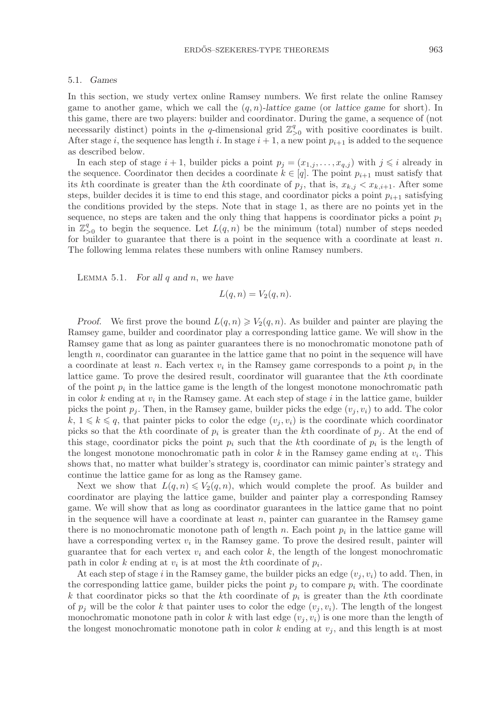#### ERDŐS–SZEKERES-TYPE THEOREMS  $963$

#### 5.1. *Games*

In this section, we study vertex online Ramsey numbers. We first relate the online Ramsey game to another game, which we call the (q, n)*-lattice game* (or *lattice game* for short). In this game, there are two players: builder and coordinator. During the game, a sequence of (not necessarily distinct) points in the q-dimensional grid  $\mathbb{Z}_{\geq 0}^q$  with positive coordinates is built. After stage i, the sequence has length i. In stage  $i + 1$ , a new point  $p_{i+1}$  is added to the sequence as described below.

In each step of stage  $i + 1$ , builder picks a point  $p_j = (x_{1,j}, \ldots, x_{q,j})$  with  $j \leq i$  already in the sequence. Coordinator then decides a coordinate  $k \in [q]$ . The point  $p_{i+1}$  must satisfy that its kth coordinate is greater than the kth coordinate of  $p_j$ , that is,  $x_{k,j} \leq x_{k,i+1}$ . After some steps, builder decides it is time to end this stage, and coordinator picks a point  $p_{i+1}$  satisfying the conditions provided by the steps. Note that in stage 1, as there are no points yet in the sequence, no steps are taken and the only thing that happens is coordinator picks a point  $p_1$ in  $\mathbb{Z}_{\geq 0}^q$  to begin the sequence. Let  $L(q, n)$  be the minimum (total) number of steps needed<br>for builder to guarantee that there is a point in the sequence with a coordinate at least n for builder to guarantee that there is a point in the sequence with a coordinate at least  $n$ . The following lemma relates these numbers with online Ramsey numbers.

Lemma 5.1. *For all* q *and* n, *we have*

$$
L(q, n) = V_2(q, n).
$$

*Proof.* We first prove the bound  $L(q, n) \ge V_2(q, n)$ . As builder and painter are playing the process huilder and coordinates play a corresponding lattice game. We will show in the Ramsey game, builder and coordinator play a corresponding lattice game. We will show in the Ramsey game that as long as painter guarantees there is no monochromatic monotone path of length  $n$ , coordinator can guarantee in the lattice game that no point in the sequence will have a coordinate at least n. Each vertex  $v_i$  in the Ramsey game corresponds to a point  $p_i$  in the lattice game. To prove the desired result, coordinator will guarantee that the kth coordinate of the point  $p_i$  in the lattice game is the length of the longest monotone monochromatic path in color  $k$  ending at  $v_i$  in the Ramsey game. At each step of stage  $i$  in the lattice game, builder picks the point  $p_j$ . Then, in the Ramsey game, builder picks the edge  $(v_j, v_i)$  to add. The color  $k, 1 \leq k \leq q$ , that painter picks to color the edge  $(v_i, v_i)$  is the coordinate which coordinator picks so that the kth coordinate of  $p_i$  is greater than the kth coordinate of  $p_j$ . At the end of this stage, coordinator picks the point  $p_i$  such that the k<sup>th</sup> coordinate of  $p_i$  is the length of the longest monotone monochromatic path in color  $k$  in the Ramsey game ending at  $v_i$ . This shows that, no matter what builder's strategy is, coordinator can mimic painter's strategy and continue the lattice game for as long as the Ramsey game.

Next we show that  $L(q, n) \leq V_2(q, n)$ , which would complete the proof. As builder and coordinator are playing the lattice game, builder and painter play a corresponding Ramsey game. We will show that as long as coordinator guarantees in the lattice game that no point in the sequence will have a coordinate at least  $n$ , painter can guarantee in the Ramsey game there is no monochromatic monotone path of length  $n$ . Each point  $p_i$  in the lattice game will have a corresponding vertex  $v_i$  in the Ramsey game. To prove the desired result, painter will guarantee that for each vertex  $v_i$  and each color  $k$ , the length of the longest monochromatic path in color k ending at  $v_i$  is at most the kth coordinate of  $p_i$ .

At each step of stage i in the Ramsey game, the builder picks an edge  $(v_j, v_i)$  to add. Then, in the corresponding lattice game, builder picks the point  $p_j$  to compare  $p_i$  with. The coordinate k that coordinator picks so that the k<sup>th</sup> coordinate of  $p_i$  is greater than the k<sup>th</sup> coordinate of  $p_j$  will be the color k that painter uses to color the edge  $(v_j, v_i)$ . The length of the longest monochromatic monotone path in color k with last edge  $(v_j, v_i)$  is one more than the length of the longest monochromatic monotone path in color  $k$  ending at  $v_j$ , and this length is at most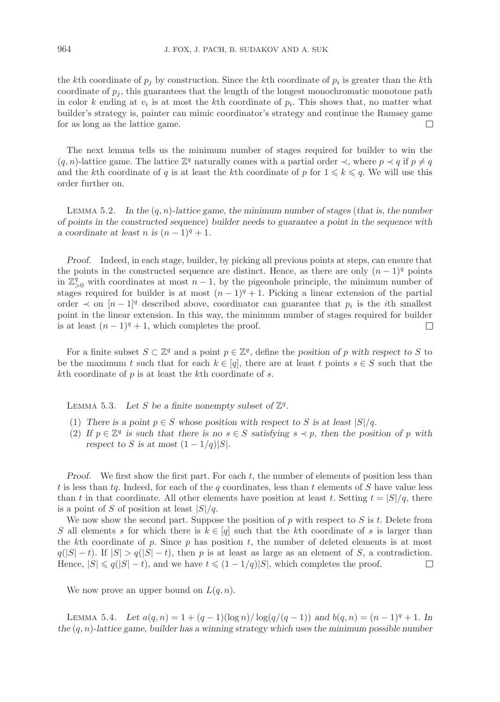the kth coordinate of  $p_j$  by construction. Since the kth coordinate of  $p_i$  is greater than the kth coordinate of  $p_j$ , this guarantees that the length of the longest monochromatic monotone path in color k ending at  $v_i$  is at most the k<sup>th</sup> coordinate of  $p_i$ . This shows that, no matter what builder's strategy is, painter can mimic coordinator's strategy and continue the Ramsey game for as long as the lattice game.  $\Box$ 

The next lemma tells us the minimum number of stages required for builder to win the  $(q, n)$ -lattice game. The lattice  $\mathbb{Z}^q$  naturally comes with a partial order  $\prec$ , where  $p \prec q$  if  $p \neq q$ and the kth coordinate of q is at least the kth coordinate of p for  $1 \leq k \leq q$ . We will use this order further on.

Lemma 5.2. *In the* (q, n)*-lattice game*, *the minimum number of stages* (*that is*, *the number of points in the constructed sequence*) *builder needs to guarantee a point in the sequence with a* coordinate at least n is  $(n-1)^q + 1$ .

*Proof.* Indeed, in each stage, builder, by picking all previous points at steps, can ensure that the points in the constructed sequence are distinct. Hence, as there are only  $(n-1)<sup>q</sup>$  points in  $\mathbb{Z}_{\geq 0}^q$  with coordinates at most  $n-1$ , by the pigeonhole principle, the minimum number of the partial stages required for builder is at most  $(n - 1)<sup>q</sup> + 1$ . Picking a linear extension of the partial order  $\prec$  on  $[n-1]$ <sup>q</sup> described above, coordinator can guarantee that  $p_i$  is the *i*<sup>th</sup> smallest point in the linear extension. In this way, the minimum number of stages required for builder is at least  $(n-1)^q + 1$ , which completes the proof.  $\Box$ 

For a finite subset  $S \subset \mathbb{Z}^q$  and a point  $p \in \mathbb{Z}^q$ , define the *position of* p with respect to S to be the maximum t such that for each  $k \in [q]$ , there are at least t points  $s \in S$  such that the kth coordinate of  $p$  is at least the kth coordinate of  $s$ .

LEMMA 5.3. Let S be a finite nonempty subset of  $\mathbb{Z}^q$ .

- (1) *There is a point*  $p \in S$  *whose position with respect to* S *is at least*  $|S|/q$ *.*
- (2) If  $p \in \mathbb{Z}^q$  is such that there is no  $s \in S$  satisfying  $s \prec p$ , then the position of p with *respect to* S *is at most*  $(1 - 1/q)|S|$ *.*

*Proof.* We first show the first part. For each t, the number of elements of position less than t is less than tq. Indeed, for each of the q coordinates, less than t elements of S have value less than t in that coordinate. All other elements have position at least t. Setting  $t = |S|/q$ , there is a point of S of position at least  $|S|/q$ .

We now show the second part. Suppose the position of  $p$  with respect to  $S$  is  $t$ . Delete from S all elements s for which there is  $k \in [q]$  such that the kth coordinate of s is larger than the kth coordinate of p. Since p has position t, the number of deleted elements is at most  $q(|S| - t)$ . If  $|S| > q(|S| - t)$ , then p is at least as large as an element of S, a contradiction. Hence,  $|S| \leq q(|S| - t)$ , and we have  $t \leq (1 - 1/q)|S|$ , which completes the proof.  $\Box$ 

We now prove an upper bound on  $L(q, n)$ .

LEMMA 5.4. Let  $a(q, n) = 1 + (q - 1)(\log n)/\log(q/(q - 1))$  and  $b(q, n) = (n - 1)^{q} + 1$ . In *the* (q, n)*-lattice game*, *builder has a winning strategy which uses the minimum possible number*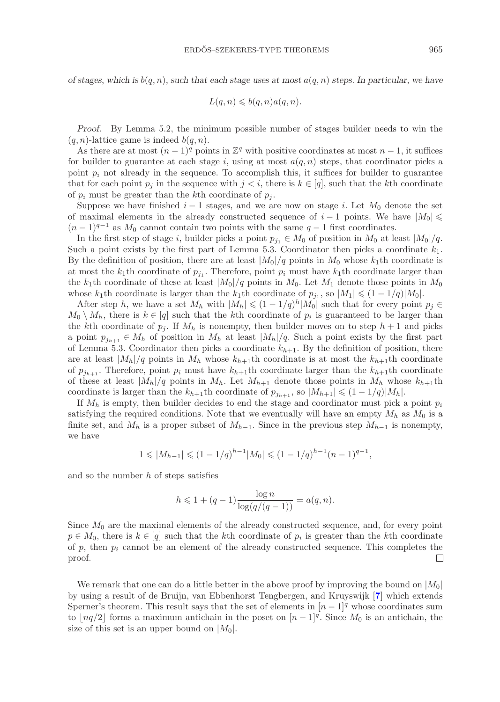*of stages, which is*  $b(q, n)$ , *such that each stage uses at most*  $a(q, n)$  *steps. In particular, we have* 

$$
L(q,n)\leqslant b(q,n)a(q,n).
$$

*Proof.* By Lemma 5.2, the minimum possible number of stages builder needs to win the  $(q, n)$ -lattice game is indeed  $b(q, n)$ .

As there are at most  $(n-1)^q$  points in  $\mathbb{Z}^q$  with positive coordinates at most  $n-1$ , it suffices for builder to guarantee at each stage i, using at most  $a(q, n)$  steps, that coordinator picks a point  $p_i$  not already in the sequence. To accomplish this, it suffices for builder to guarantee that for each point  $p_j$  in the sequence with  $j < i$ , there is  $k \in [q]$ , such that the kth coordinate of  $p_i$  must be greater than the kth coordinate of  $p_j$ .

Suppose we have finished  $i-1$  stages, and we are now on stage i. Let  $M_0$  denote the set of maximal elements in the already constructed sequence of  $i - 1$  points. We have  $|M_0| \le$  $(n-1)^{q-1}$  as  $M_0$  cannot contain two points with the same  $q-1$  first coordinates.

In the first step of stage i, builder picks a point  $p_{j_1} \in M_0$  of position in  $M_0$  at least  $|M_0|/q$ . Such a point exists by the first part of Lemma 5.3. Coordinator then picks a coordinate  $k_1$ . By the definition of position, there are at least  $|M_0|/q$  points in  $M_0$  whose  $k_1$ th coordinate is at most the  $k_1$ th coordinate of  $p_j$ . Therefore, point  $p_i$  must have  $k_1$ th coordinate larger than the k<sub>1</sub>th coordinate of these at least  $|M_0|/q$  points in  $M_0$ . Let  $M_1$  denote those points in  $M_0$ whose k<sub>1</sub>th coordinate is larger than the k<sub>1</sub>th coordinate of  $p_{j_1}$ , so  $|M_1| \leq (1 - 1/q)|M_0|$ .

After step h, we have a set  $M_h$  with  $|M_h| \leq (1 - 1/q)^h |M_0|$  such that for every point  $p_j \in$  $M_0 \setminus M_h$ , there is  $k \in [q]$  such that the k<sup>th</sup> coordinate of  $p_i$  is guaranteed to be larger than the kth coordinate of  $n$ . If M is popematy than builder moves on to stap  $k+1$  and picked the kth coordinate of  $p_j$ . If  $M_h$  is nonempty, then builder moves on to step  $h+1$  and picks a point  $p_{j_{h+1}} \in M_h$  of position in  $M_h$  at least  $|M_h|/q$ . Such a point exists by the first part of Lemma 5.3. Coordinator then picks a coordinate  $k_{h+1}$ . By the definition of position, there are at least  $|M_h|/q$  points in  $M_h$  whose  $k_{h+1}$ th coordinate is at most the  $k_{h+1}$ th coordinate of  $p_{j_{h+1}}$ . Therefore, point  $p_i$  must have  $k_{h+1}$ th coordinate larger than the  $k_{h+1}$ th coordinate of these at least  $|M_h|/q$  points in  $M_h$ . Let  $M_{h+1}$  denote those points in  $M_h$  whose  $k_{h+1}$ th coordinate is larger than the  $k_{h+1}$ th coordinate of  $p_{j_{h+1}}$ , so  $|M_{h+1}| \leq (1 - 1/q)|M_h|$ .

If  $M_h$  is empty, then builder decides to end the stage and coordinator must pick a point  $p_i$ satisfying the required conditions. Note that we eventually will have an empty  $M_h$  as  $M_0$  is a finite set, and  $M_h$  is a proper subset of  $M_{h-1}$ . Since in the previous step  $M_{h-1}$  is nonempty, we have

$$
1 \leq |M_{h-1}| \leq (1 - 1/q)^{h-1} |M_0| \leq (1 - 1/q)^{h-1} (n - 1)^{q-1},
$$

and so the number  $h$  of steps satisfies

$$
h \leq 1 + (q - 1) \frac{\log n}{\log(q/(q - 1))} = a(q, n).
$$

Since  $M_0$  are the maximal elements of the already constructed sequence, and, for every point  $p \in M_0$ , there is  $k \in [q]$  such that the k<sup>th</sup> coordinate of  $p_i$  is greater than the k<sup>th</sup> coordinate of p, then  $p_i$  cannot be an element of the already constructed sequence. This completes the proof.  $\Box$ 

We remark that one can do a little better in the above proof by improving the bound on  $|M_0|$ by using a result of de Bruijn, van Ebbenhorst Tengbergen, and Kruyswijk [**[7](#page-28-28)**] which extends Sperner's theorem. This result says that the set of elements in  $[n-1]$ <sup>q</sup> whose coordinates sum to  $\lfloor nq/2 \rfloor$  forms a maximum antichain in the poset on  $\lfloor n-1 \rfloor^q$ . Since  $M_0$  is an antichain, the size of this set is an upper bound on  $|M_0|$ .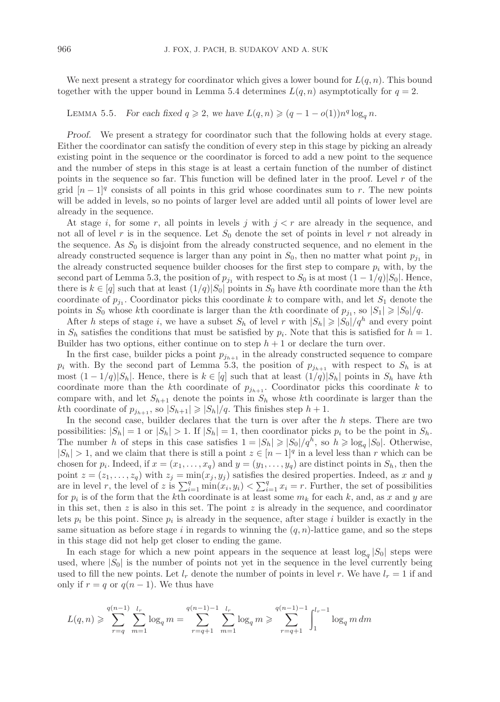We next present a strategy for coordinator which gives a lower bound for  $L(q, n)$ . This bound together with the upper bound in Lemma 5.4 determines  $L(q, n)$  asymptotically for  $q = 2$ .

# LEMMA 5.5. *For each fixed*  $q \geq 2$ , we have  $L(q, n) \geq (q - 1 - o(1))n^q \log_q n$ .

*Proof.* We present a strategy for coordinator such that the following holds at every stage. Either the coordinator can satisfy the condition of every step in this stage by picking an already existing point in the sequence or the coordinator is forced to add a new point to the sequence and the number of steps in this stage is at least a certain function of the number of distinct points in the sequence so far. This function will be defined later in the proof. Level  $r$  of the grid  $[n-1]^q$  consists of all points in this grid whose coordinates sum to r. The new points will be added in levels, so no points of larger level are added until all points of lower level are already in the sequence.

At stage i, for some r, all points in levels j with  $j < r$  are already in the sequence, and not all of level r is in the sequence. Let  $S_0$  denote the set of points in level r not already in the sequence. As  $S_0$  is disjoint from the already constructed sequence, and no element in the already constructed sequence is larger than any point in  $S_0$ , then no matter what point  $p_{j_1}$  in the already constructed sequence builder chooses for the first step to compare  $p_i$  with, by the second part of Lemma 5.3, the position of  $p_{j_1}$  with respect to  $S_0$  is at most  $(1 - 1/q)|S_0|$ . Hence, there is  $k \in [q]$  such that at least  $(1/q)|S_0|$  points in  $S_0$  have kth coordinate more than the kth coordinate of  $p_{j_1}$ . Coordinator picks this coordinate k to compare with, and let  $S_1$  denote the points in  $S_0$  whose kth coordinate is larger than the kth coordinate of  $p_{j_1}$ , so  $|S_1| \ge |S_0|/q$ .

After h steps of stage i, we have a subset  $S_h$  of level r with  $|S_h| \geq |S_0|/q^h$  and every point  $S_h$  estimates the conditions that must be estimated by n. Note that this is estimated for  $h-1$ in  $S_h$  satisfies the conditions that must be satisfied by  $p_i$ . Note that this is satisfied for  $h = 1$ . Builder has two options, either continue on to step  $h + 1$  or declare the turn over.

In the first case, builder picks a point  $p_{j_{h+1}}$  in the already constructed sequence to compare  $p_i$  with. By the second part of Lemma 5.3, the position of  $p_{j_{h+1}}$  with respect to  $S_h$  is at most  $(1 - 1/q)|S_h|$ . Hence, there is  $k \in [q]$  such that at least  $(1/q)|S_h|$  points in  $S_h$  have kth coordinate more than the k<sup>th</sup> coordinate of  $p_{j_{h+1}}$ . Coordinator picks this coordinate k to compare with, and let  $S_{h+1}$  denote the points in  $S_h$  whose kth coordinate is larger than the kth coordinate of  $p_{j_{h+1}}$ , so  $|S_{h+1}| \ge |S_h|/q$ . This finishes step  $h + 1$ .<br>In the second case, builder declares that the turn is over often the

In the second case, builder declares that the turn is over after the  $h$  steps. There are two possibilities:  $|S_h| = 1$  or  $|S_h| > 1$ . If  $|S_h| = 1$ , then coordinator picks  $p_i$  to be the point in  $S_h$ . The number h of steps in this case satisfies  $1 = |S_h| \geq |S_0|/q^h$ , so  $h \geq \log_q |S_0|$ . Otherwise,  $|S_h| > 1$ , and we claim that there is still a point  $z \in [n-1]^q$  in a level less than r which can be chosen for  $p_i$ . Indeed, if  $x = (x_1, \ldots, x_q)$  and  $y = (y_1, \ldots, y_q)$  are distinct points in  $S_h$ , then the point  $z = (z_1, \ldots, z_q)$  with  $z_j = \min(x_j, y_j)$  satisfies the desired properties. Indeed, as x and y are in level r, the level of z is  $\sum_{i=1}^{q} \min(x_i, y_i) < \sum_{i=1}^{q} x_i = r$ . Further, the set of possibilities for *n*: is of the form that the *k*<sup>th</sup> coordinate is at least some *m*; for each *k*, and as *x* and *y* are for  $p_i$  is of the form that the kth coordinate is at least some  $m_k$  for each k, and, as x and y are in this set, then  $z$  is also in this set. The point  $z$  is already in the sequence, and coordinator lets  $p_i$  be this point. Since  $p_i$  is already in the sequence, after stage i builder is exactly in the same situation as before stage i in regards to winning the  $(q, n)$ -lattice game, and so the steps in this stage did not help get closer to ending the game.

In each stage for which a new point appears in the sequence at least  $\log_q |S_0|$  steps were used, where  $|S_0|$  is the number of points not yet in the sequence in the level currently being used to fill the new points. Let  $l_r$  denote the number of points in level r. We have  $l_r = 1$  if and only if  $r = q$  or  $q(n-1)$ . We thus have

$$
L(q,n) \geqslant \sum_{r=q}^{q(n-1)} \sum_{m=1}^{l_r} \log_q m = \sum_{r=q+1}^{q(n-1)-1} \sum_{m=1}^{l_r} \log_q m \geqslant \sum_{r=q+1}^{q(n-1)-1} \int_1^{l_r-1} \log_q m \, dm
$$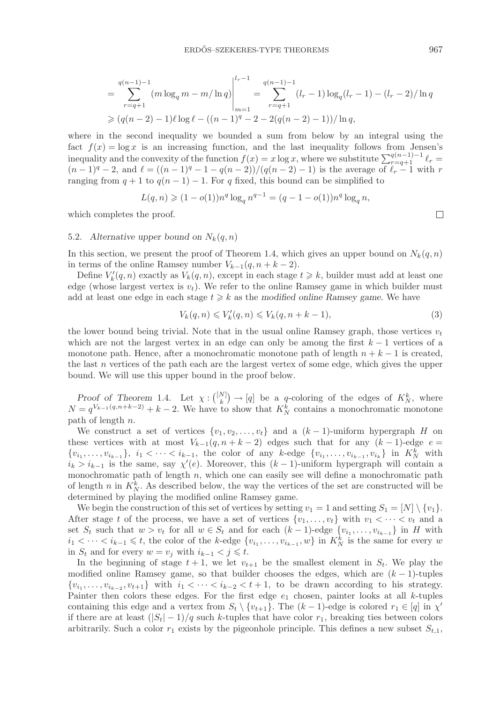$$
= \sum_{r=q+1}^{q(n-1)-1} (m \log_q m - m/\ln q) \Big|_{m=1}^{l_r-1} = \sum_{r=q+1}^{q(n-1)-1} (l_r - 1) \log_q (l_r - 1) - (l_r - 2)/\ln q
$$
  
\n
$$
\geq (q(n-2)-1)\ell \log \ell - ((n-1)^q - 2 - 2(q(n-2)-1))/\ln q,
$$

where in the second inequality we bounded a sum from below by an integral using the fact  $f(x) = \log x$  is an increasing function, and the last inequality follows from Jensen's inequality and the convexity of the function  $f(x) = x \log x$ , where we substitute  $\sum_{r=q+1}^{q(n-1)-1} \ell_r =$ <br> $(n-1)^q - 2$  and  $\ell = ((n-1)^q - 1 - q(n-2))/(q(n-2) - 1)$  is the average of  $\ell = 1$  with r  $(n-1)^{q} - 2$ , and  $\ell = ((n-1)^{q} - 1 - q(n-2))/(q(n-2) - 1)$  is the average of  $\ell_{r} - 1$  with r ranging from  $q + 1$  to  $q(n - 1) - 1$ . For q fixed, this bound can be simplified to

$$
L(q, n) \geq (1 - o(1))n^{q} \log_q n^{q-1} = (q - 1 - o(1))n^{q} \log_q n,
$$

which completes the proof.

## 5.2. Alternative upper bound on  $N_k(q, n)$

In this section, we present the proof of Theorem 1.4, which gives an upper bound on  $N_k(q, n)$ in terms of the online Ramsey number  $V_{k-1}(q, n+k-2)$ .

Define  $V'_k(q, n)$  exactly as  $V_k(q, n)$ , except in each stage  $t \geq k$ , builder must add at least one edge (whose largest vertex is  $v_t$ ). We refer to the online Ramsey game in which builder must add at least one edge in each stage  $t \geq k$  as the *modified online Ramsey game*. We have

$$
V_k(q,n) \leqslant V'_k(q,n) \leqslant V_k(q,n+k-1),\tag{3}
$$

the lower bound being trivial. Note that in the usual online Ramsey graph, those vertices  $v_t$ which are not the largest vertex in an edge can only be among the first  $k-1$  vertices of a monotone path. Hence, after a monochromatic monotone path of length  $n + k - 1$  is created, the last n vertices of the path each are the largest vertex of some edge, which gives the upper bound. We will use this upper bound in the proof below.

*Proof of Theorem* 1.4*.* Let  $\chi: \binom{[N]}{k} \to [q]$  be a q-coloring of the edges of  $K_N^k$ , where  $N = q^{V_{k-1}(q, n+k-2)} + k - 2$ . We have to show that  $K_N^k$  contains a monochromatic monotone path of length  $n$ .

We construct a set of vertices  $\{v_1, v_2, \ldots, v_t\}$  and a  $(k-1)$ -uniform hypergraph H on these vertices with at most  $V_{k-1}(q, n+k-2)$  edges such that for any  $(k-1)$ -edge  $e =$  $\{v_{i_1}, \ldots, v_{i_{k-1}}\}, i_1 < \cdots < i_{k-1}$ , the color of any k-edge  $\{v_{i_1}, \ldots, v_{i_{k-1}}, v_{i_k}\}$  in  $K_N^k$  with  $i_k > i_{k-1}$  is the same, say  $\chi'(e)$ . Moreover, this  $(k-1)$ -uniform hypergraph will contain a monochromatic path of length  $n$ , which one can easily see will define a monochromatic path of length n in  $K_N^k$ . As described below, the way the vertices of the set are constructed will be determined by playing the modified online Ramsey game.

We begin the construction of this set of vertices by setting  $v_1 = 1$  and setting  $S_1 = [N] \setminus \{v_1\}.$ After stage t of the process, we have a set of vertices  $\{v_1, \ldots, v_t\}$  with  $v_1 < \cdots < v_t$  and a set  $S_t$  such that  $w > v_t$  for all  $w \in S_t$  and for each  $(k-1)$ -edge  $\{v_{i_1}, \ldots, v_{i_{k-1}}\}$  in H with  $i_1 < \cdots < i_{k-1} \leq t$ , the color of the k-edge  $\{v_{i_1}, \ldots, v_{i_{k-1}}, w\}$  in  $K_N^k$  is the same for every w in  $S_t$  and for every  $w = v_j$  with  $i_{k-1} < j \leq t$ .

In the beginning of stage  $t + 1$ , we let  $v_{t+1}$  be the smallest element in  $S_t$ . We play the modified online Ramsey game, so that builder chooses the edges, which are  $(k-1)$ -tuples  $\{v_{i_1},\ldots,v_{i_{k-2}},v_{t+1}\}\$  with  $i_1<\cdots, to be drawn according to his strategy.$ Painter then colors these edges. For the first edge  $e_1$  chosen, painter looks at all k-tuples containing this edge and a vertex from  $S_t \setminus \{v_{t+1}\}$ . The  $(k-1)$ -edge is colored  $r_1 \in [q]$  in  $\chi'$ .<br>if there are at least  $(|S| - 1)$  (g such b turned that have a long a breaking time hatures as large if there are at least  $(|S_t| - 1)/q$  such k-tuples that have color  $r_1$ , breaking ties between colors arbitrarily. Such a color  $r_1$  exists by the pigeonhole principle. This defines a new subset  $S_{t,1}$ ,

 $\Box$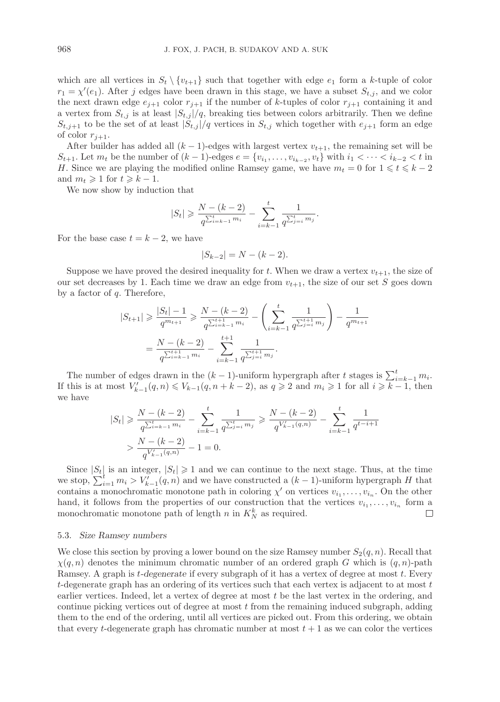which are all vertices in  $S_t \setminus \{v_{t+1}\}\$  such that together with edge  $e_1$  form a k-tuple of color  $r_1 = \chi'(e_1)$ . After j edges have been drawn in this stage, we have a subset  $S_{t,j}$ , and we color<br>the part drawn adge  $e_1$  , and  $e_2$  if the number of h tuples of solar  $r_1$  , containing it and the next drawn edge  $e_{j+1}$  color  $r_{j+1}$  if the number of k-tuples of color  $r_{j+1}$  containing it and a vertex from  $S_{t,j}$  is at least  $|S_{t,j}|/q$ , breaking ties between colors arbitrarily. Then we define  $S_{t,j+1}$  to be the set of at least  $|S_{t,j}|/q$  vertices in  $S_{t,j}$  which together with  $e_{j+1}$  form an edge of color  $r_{j+1}$ .

After builder has added all  $(k-1)$ -edges with largest vertex  $v_{t+1}$ , the remaining set will be  $S_{t+1}$ . Let  $m_t$  be the number of  $(k-1)$ -edges  $e = \{v_{i_1}, \ldots, v_{i_{k-2}}, v_t\}$  with  $i_1 < \cdots < i_{k-2} < t$  in H. Since we are playing the modified online Ramsey game, we have  $m_t = 0$  for  $1 \leq t \leq k-2$ and  $m_t \geq 1$  for  $t \geq k - 1$ .

We now show by induction that

$$
|S_t| \geqslant \frac{N - (k - 2)}{q^{\sum_{i=k-1}^{t} m_i}} - \sum_{i=k-1}^{t} \frac{1}{q^{\sum_{j=i}^{t} m_j}}.
$$

For the base case  $t = k - 2$ , we have

$$
|S_{k-2}| = N - (k-2).
$$

Suppose we have proved the desired inequality for t. When we draw a vertex  $v_{t+1}$ , the size of our set decreases by 1. Each time we draw an edge from  $v_{t+1}$ , the size of our set S goes down by a factor of  $q$ . Therefore,

$$
|S_{t+1}| \geq \frac{|S_t| - 1}{q^{m_{t+1}}} \geq \frac{N - (k - 2)}{q^{\sum_{i=k-1}^{t+1} m_i}} - \left(\sum_{i=k-1}^t \frac{1}{q^{\sum_{j=i}^{t+1} m_j}}\right) - \frac{1}{q^{m_{t+1}}}
$$

$$
= \frac{N - (k - 2)}{q^{\sum_{i=k-1}^{t+1} m_i}} - \sum_{i=k-1}^{t+1} \frac{1}{q^{\sum_{j=i}^{t+1} m_j}}.
$$

The number of edges drawn in the  $(k-1)$ -uniform hypergraph after t stages is  $\sum_{i=k-1}^{t} m_i$ .<br>
this is at most  $V'$  (a n)  $\leq V_{i-1}(a, n+k-2)$  as  $a > 2$  and  $m \geq 1$  for all  $i > k-1$  then If this is at most  $V'_{k-1}(q, n) \leq V_{k-1}(q, n+k-2)$ , as  $q \geq 2$  and  $m_i \geq 1$  for all  $i \geq k-1$ , then we have

$$
|S_t| \geq \frac{N - (k - 2)}{q^{\sum_{i=k-1}^{t} m_i}} - \sum_{i=k-1}^{t} \frac{1}{q^{\sum_{j=i}^{t} m_j}} \geq \frac{N - (k - 2)}{q^{V'_{k-1}(q, n)}} - \sum_{i=k-1}^{t} \frac{1}{q^{t-i+1}}
$$
  
> 
$$
\frac{N - (k - 2)}{q^{V'_{k-1}(q, n)}} - 1 = 0.
$$

Since  $|S_t|$  is an integer,  $|S_t| \geq 1$  and we can continue to the next stage. Thus, at the time we stop,  $\sum_{i=1}^{t} m_i > V_{k-1}(q, n)$  and we have constructed a  $(k-1)$ -uniform hypergraph H that contains a monochromatic monotone path in coloring  $\chi'$  on vertices  $v_{i_1}, \ldots, v_{i_n}$ . On the other hand, it follows from the properties of our construction that the vertices  $v_{i_1}, \ldots, v_{i_n}$  form a monochromatic monotone path of length  $n$  in  $K_N^k$  as required.  $\Box$ 

#### 5.3. *Size Ramsey numbers*

We close this section by proving a lower bound on the size Ramsey number  $S_2(q, n)$ . Recall that  $\chi(q, n)$  denotes the minimum chromatic number of an ordered graph G which is  $(q, n)$ -path Ramsey. A graph is t*-degenerate* if every subgraph of it has a vertex of degree at most t. Every t-degenerate graph has an ordering of its vertices such that each vertex is adjacent to at most  $t$ earlier vertices. Indeed, let a vertex of degree at most t be the last vertex in the ordering, and continue picking vertices out of degree at most  $t$  from the remaining induced subgraph, adding them to the end of the ordering, until all vertices are picked out. From this ordering, we obtain that every t-degenerate graph has chromatic number at most  $t + 1$  as we can color the vertices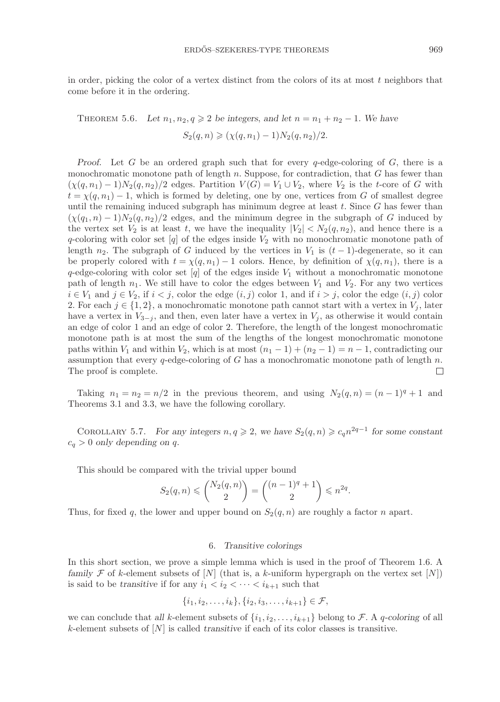in order, picking the color of a vertex distinct from the colors of its at most  $t$  neighbors that come before it in the ordering.

THEOREM 5.6. Let  $n_1, n_2, q \ge 2$  be integers, and let  $n = n_1 + n_2 - 1$ . We have  $S_2(q, n) \geqslant (\chi(q, n_1) - 1)N_2(q, n_2)/2.$ 

*Proof.* Let G be an ordered graph such that for every q-edge-coloring of G, there is a monochromatic monotone path of length n. Suppose, for contradiction, that G has fewer than  $(\chi(q, n_1) - 1)N_2(q, n_2)/2$  edges. Partition  $V(G) = V_1 \cup V_2$ , where  $V_2$  is the t-core of G with  $t = \chi(q, n_1) - 1$ , which is formed by deleting, one by one, vertices from G of smallest degree until the remaining induced subgraph has minimum degree at least  $t$ . Since  $G$  has fewer than  $(\chi(q_1, n) - 1)N_2(q, n_2)/2$  edges, and the minimum degree in the subgraph of G induced by the vertex set  $V_2$  is at least t, we have the inequality  $|V_2| < N_2(q, n_2)$ , and hence there is a q-coloring with color set  $[q]$  of the edges inside  $V_2$  with no monochromatic monotone path of length  $n_2$ . The subgraph of G induced by the vertices in  $V_1$  is  $(t-1)$ -degenerate, so it can be properly colored with  $t = \chi(q, n_1) - 1$  colors. Hence, by definition of  $\chi(q, n_1)$ , there is a q-edge-coloring with color set [q] of the edges inside  $V_1$  without a monochromatic monotone path of length  $n_1$ . We still have to color the edges between  $V_1$  and  $V_2$ . For any two vertices  $i \in V_1$  and  $j \in V_2$ , if  $i < j$ , color the edge  $(i, j)$  color 1, and if  $i > j$ , color the edge  $(i, j)$  color 2. For each  $j \in \{1, 2\}$ , a monochromatic monotone path cannot start with a vertex in  $V_i$ , later have a vertex in  $V_{3-j}$ , and then, even later have a vertex in  $V_j$ , as otherwise it would contain an edge of color 1 and an edge of color 2. Therefore, the length of the longest monochromatic monotone path is at most the sum of the lengths of the longest monochromatic monotone paths within  $V_1$  and within  $V_2$ , which is at most  $(n_1 - 1) + (n_2 - 1) = n - 1$ , contradicting our assumption that every q-edge-coloring of G has a monochromatic monotone path of length  $n$ . The proof is complete.  $\Box$ 

Taking  $n_1 = n_2 = n/2$  in the previous theorem, and using  $N_2(q, n) = (n - 1)^q + 1$  and Theorems 3.1 and 3.3, we have the following corollary.

COROLLARY 5.7. *For any integers*  $n, q \ge 2$ , we have  $S_2(q, n) \ge c_q n^{2q-1}$  for some constant  $c_q > 0$  *only depending on q.* 

This should be compared with the trivial upper bound

$$
S_2(q,n)\leqslant \binom{N_2(q,n)}{2}=\binom{(n-1)^q+1}{2}\leqslant n^{2q}.
$$

Thus, for fixed q, the lower and upper bound on  $S_2(q, n)$  are roughly a factor n apart.

# 6. *Transitive colorings*

In this short section, we prove a simple lemma which is used in the proof of Theorem 1.6. A *family*  $\mathcal F$  of k-element subsets of [N] (that is, a k-uniform hypergraph on the vertex set [N]) is said to be *transitive* if for any  $i_1 < i_2 < \cdots < i_{k+1}$  such that

$$
\{i_1, i_2, \ldots, i_k\}, \{i_2, i_3, \ldots, i_{k+1}\} \in \mathcal{F},
$$

we can conclude that *all* k-element subsets of  $\{i_1, i_2, \ldots, i_{k+1}\}$  belong to F. A q-coloring of all k-element subsets of [N] is called *transitive* if each of its color classes is transitive.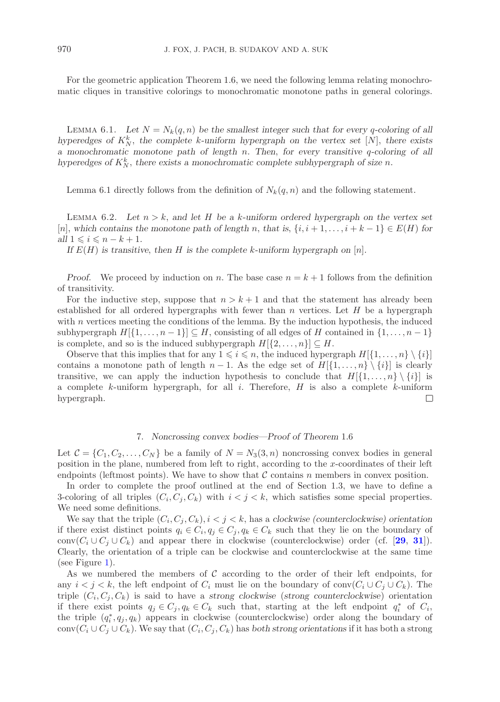For the geometric application Theorem 1.6, we need the following lemma relating monochromatic cliques in transitive colorings to monochromatic monotone paths in general colorings.

LEMMA 6.1. Let  $N = N_k(q, n)$  be the smallest integer such that for every q-coloring of all *hyperedges of*  $K_N^k$ , the complete k-uniform hypergraph on the vertex set [N], there exists *a monochromatic monotone path of length* n*. Then*, *for every transitive* q*-coloring of all hyperedges of*  $K_N^k$ , there exists a monochromatic complete subhypergraph of size n.

Lemma 6.1 directly follows from the definition of  $N_k(q, n)$  and the following statement.

LEMMA 6.2. Let  $n > k$ , and let H be a k-uniform ordered hypergraph on the vertex set  $[n]$ , which contains the monotone path of length n, that is,  $\{i, i + 1, \ldots, i + k - 1\} \in E(H)$  for *all*  $1 \leq i \leq n - k + 1$ *.* 

*If*  $E(H)$  *is transitive, then H is the complete k*-uniform hypergraph on [n].

*Proof.* We proceed by induction on n. The base case  $n = k + 1$  follows from the definition of transitivity.

For the inductive step, suppose that  $n>k+1$  and that the statement has already been established for all ordered hypergraphs with fewer than n vertices. Let  $H$  be a hypergraph with  $n$  vertices meeting the conditions of the lemma. By the induction hypothesis, the induced subhypergraph  $H[\{1,\ldots,n-1\}] \subseteq H$ , consisting of all edges of H contained in  $\{1,\ldots,n-1\}$ is complete, and so is the induced subhypergraph  $H[\{2,\ldots,n\}] \subseteq H$ .

Observe that this implies that for any  $1 \leq i \leq n$ , the induced hypergraph  $H[\{1,\ldots,n\}\setminus\{i\}]$ contains a monotone path of length  $n-1$ . As the edge set of  $H[\{1,\ldots,n\}\setminus\{i\}]$  is clearly transitive, we can apply the induction hypothesis to conclude that  $H[\{1,\ldots,n\}\setminus\{i\}]$  is a complete  $k$ -uniform hypergraph, for all  $i$ . Therefore,  $H$  is also a complete  $k$ -uniform hypergraph.  $\Box$ 

## 7. *Noncrossing convex bodies—Proof of Theorem* 1.6

Let  $\mathcal{C} = \{C_1, C_2, \ldots, C_N\}$  be a family of  $N = N_3(3, n)$  noncrossing convex bodies in general position in the plane, numbered from left to right, according to the x-coordinates of their left endpoints (leftmost points). We have to show that  $\mathcal C$  contains n members in convex position.

In order to complete the proof outlined at the end of Section 1.3, we have to define a 3-coloring of all triples  $(C_i, C_j, C_k)$  with  $i < j < k$ , which satisfies some special properties. We need some definitions.

We say that the triple  $(C_i, C_j, C_k)$ ,  $i < j < k$ , has a *clockwise (counterclockwise)* orientation if there exist distinct points  $q_i \in C_i$ ,  $q_j \in C_j$ ,  $q_k \in C_k$  such that they lie on the boundary of conv $(C_i \cup C_j \cup C_k)$  and appear there in clockwise (counterclockwise) order (cf. [[29](#page-28-29), [31](#page-28-30)]). Clearly, the orientation of a triple can be clockwise and counterclockwise at the same time (see Figure [1\)](#page-18-0).

As we numbered the members of  $\mathcal C$  according to the order of their left endpoints, for any  $i < j < k$ , the left endpoint of  $C_i$  must lie on the boundary of conv $(C_i \cup C_j \cup C_k)$ . The triple  $(C_i, C_j, C_k)$  is said to have a *strong clockwise* (*strong counterclockwise*) orientation if there exist points  $q_j \in C_j, q_k \in C_k$  such that, starting at the left endpoint  $q_i^*$  of  $C_i$ , the triple  $(q_i^*, q_j, q_k)$  appears in clockwise (counterclockwise) order along the boundary of conv $(C_i \cup C_j \cup C_k)$ . We say that  $(C_i, C_j, C_k)$  has *both strong orientations* if it has both a strong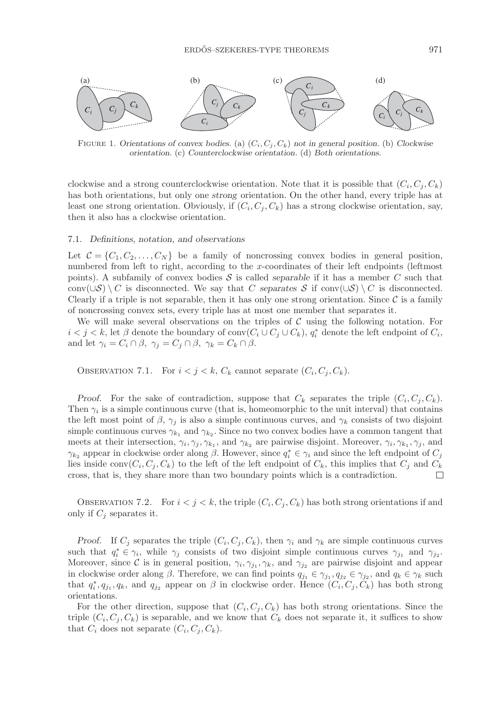

<span id="page-18-0"></span>FIGURE 1. Orientations of convex bodies. (a)  $(C_i, C_j, C_k)$  not in general position. (b) Clockwise *orientation.* (c) *Counterclockwise orientation.* (d) *Both orientations.*

clockwise and a strong counterclockwise orientation. Note that it is possible that  $(C_i, C_i, C_k)$ has both orientations, but only one *strong* orientation. On the other hand, every triple has at least one strong orientation. Obviously, if  $(C_i, C_j, C_k)$  has a strong clockwise orientation, say, then it also has a clockwise orientation.

# 7.1. *Definitions, notation, and observations*

Let  $\mathcal{C} = \{C_1, C_2, \ldots, C_N\}$  be a family of noncrossing convex bodies in general position, numbered from left to right, according to the x-coordinates of their left endpoints (leftmost points). A subfamily of convex bodies  $S$  is called *separable* if it has a member  $C$  such that conv( $\cup S$ ) \ C is disconnected. We say that C *separates* S if conv( $\cup S$ ) \ C is disconnected. Clearly if a triple is not separable, then it has only one strong orientation. Since  $\mathcal C$  is a family of noncrossing convex sets, every triple has at most one member that separates it.

We will make several observations on the triples of  $\mathcal C$  using the following notation. For  $i < j < k$ , let  $\beta$  denote the boundary of conv $(C_i \cup C_j \cup C_k)$ ,  $q_i^*$  denote the left endpoint of  $C_i$ , and let  $\gamma_i = C_i \cap \beta$ ,  $\gamma_j = C_j \cap \beta$ ,  $\gamma_k = C_k \cap \beta$ .

OBSERVATION 7.1. For  $i < j < k$ ,  $C_k$  cannot separate  $(C_i, C_j, C_k)$ .

*Proof.* For the sake of contradiction, suppose that  $C_k$  separates the triple  $(C_i, C_j, C_k)$ . Then  $\gamma_i$  is a simple continuous curve (that is, homeomorphic to the unit interval) that contains the left most point of  $\beta$ ,  $\gamma_i$  is also a simple continuous curves, and  $\gamma_k$  consists of two disjoint simple continuous curves  $\gamma_{k_1}$  and  $\gamma_{k_2}$ . Since no two convex bodies have a common tangent that meets at their intersection,  $\gamma_i, \gamma_j, \gamma_{k_1}$ , and  $\gamma_{k_2}$  are pairwise disjoint. Moreover,  $\gamma_i, \gamma_{k_1}, \gamma_j$ , and  $γ_{k_2}$  appear in clockwise order along β. However, since  $q_i^* ∈ γ_i$  and since the left endpoint of  $C_j$ lies inside conv $(C_i, C_j, C_k)$  to the left of the left endpoint of  $C_k$ , this implies that  $C_j$  and  $C_k$ cross, that is, they share more than two boundary points which is a contradiction.  $\Box$ 

OBSERVATION 7.2. For  $i < j < k$ , the triple  $(C_i, C_j, C_k)$  has both strong orientations if and only if  $C_i$  separates it.

*Proof.* If  $C_j$  separates the triple  $(C_i, C_j, C_k)$ , then  $\gamma_i$  and  $\gamma_k$  are simple continuous curves such that  $q_i^* \in \gamma_i$ , while  $\gamma_j$  consists of two disjoint simple continuous curves  $\gamma_{j_1}$  and  $\gamma_{j_2}$ . Moreover, since C is in general position,  $\gamma_i, \gamma_{j_1}, \gamma_k$ , and  $\gamma_{j_2}$  are pairwise disjoint and appear in clockwise order along  $\beta$ . Therefore, we can find points  $q_{j_1} \in \gamma_{j_1}, q_{j_2} \in \gamma_{j_2}$ , and  $q_k \in \gamma_k$  such that  $q_i^*, q_{j_1}, q_k$ , and  $q_{j_2}$  appear on  $\beta$  in clockwise order. Hence  $(C_i, C_j, C_k)$  has both strong orientations.

For the other direction, suppose that  $(C_i, C_i, C_k)$  has both strong orientations. Since the triple  $(C_i, C_j, C_k)$  is separable, and we know that  $C_k$  does not separate it, it suffices to show that  $C_i$  does not separate  $(C_i, C_j, C_k)$ .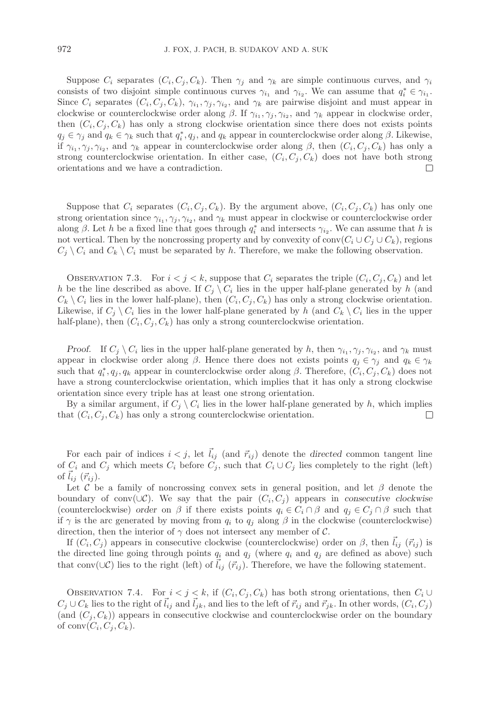Suppose  $C_i$  separates  $(C_i, C_j, C_k)$ . Then  $\gamma_i$  and  $\gamma_k$  are simple continuous curves, and  $\gamma_i$ consists of two disjoint simple continuous curves  $\gamma_{i_1}$  and  $\gamma_{i_2}$ . We can assume that  $q_i^* \in \gamma_{i_1}$ . Since  $C_i$  separates  $(C_i, C_j, C_k)$ ,  $\gamma_{i_1}, \gamma_{j_1}, \gamma_{i_2}$ , and  $\gamma_k$  are pairwise disjoint and must appear in clockwise or counterclockwise order along  $\beta$ . If  $\gamma_i, \gamma_i, \gamma_i$ , and  $\gamma_k$  appear in clockwise order, then  $(C_i, C_j, C_k)$  has only a strong clockwise orientation since there does not exists points  $q_j \in \gamma_j$  and  $q_k \in \gamma_k$  such that  $q_i^*, q_j$ , and  $q_k$  appear in counterclockwise order along  $\beta$ . Likewise, if  $\gamma_i, \gamma_j, \gamma_i$ , and  $\gamma_k$  appear in counterclockwise order along  $\beta$ , then  $(C_i, C_j, C_k)$  has only a strong counterclockwise orientation. In either case,  $(C_i, C_j, C_k)$  does not have both strong orientations and we have a contradiction.  $\Box$ 

Suppose that  $C_i$  separates  $(C_i, C_j, C_k)$ . By the argument above,  $(C_i, C_j, C_k)$  has only one strong orientation since  $\gamma_{i_1}, \gamma_{j}, \gamma_{i_2}$ , and  $\gamma_k$  must appear in clockwise or counterclockwise order along  $\beta$ . Let h be a fixed line that goes through  $q_i^*$  and intersects  $\gamma_{i_2}$ . We can assume that h is not vertical. Then by the noncrossing property and by convexity of conv $(C_i \cup C_j \cup C_k)$ , regions  $C_j \setminus C_i$  and  $C_k \setminus C_i$  must be separated by h. Therefore, we make the following observation.

OBSERVATION 7.3. For  $i < j < k$ , suppose that  $C_i$  separates the triple  $(C_i, C_j, C_k)$  and let h be the line described as above. If  $C_i \setminus C_i$  lies in the upper half-plane generated by h (and  $C_k \setminus C_i$  lies in the lower half-plane), then  $(C_i, C_j, C_k)$  has only a strong clockwise orientation. Likewise, if  $C_i \setminus C_i$  lies in the lower half-plane generated by h (and  $C_k \setminus C_i$  lies in the upper half-plane), then  $(C_i, C_j, C_k)$  has only a strong counterclockwise orientation.

*Proof.* If  $C_i \setminus C_i$  lies in the upper half-plane generated by h, then  $\gamma_{i_1}, \gamma_{i_2}, \gamma_{i_2}$ , and  $\gamma_k$  must appear in clockwise order along  $\beta$ . Hence there does not exists points  $q_i \in \gamma_i$  and  $q_k \in \gamma_k$ such that  $q_i^*, q_j, q_k$  appear in counterclockwise order along  $\beta$ . Therefore,  $(\tilde{C}_i, \tilde{C}_j, C_k)$  does not have a strong counterclockwise orientation, which implies that it has only a strong clockwise orientation since every triple has at least one strong orientation.

By a similar argument, if  $C_j \setminus C_i$  lies in the lower half-plane generated by h, which implies that  $(C_i, C_j, C_k)$  has only a strong counterclockwise orientation.  $\Box$ 

For each pair of indices  $i < j$ , let  $l_{ij}$  (and  $\vec{r}_{ij}$ ) denote the *directed* common tangent line of  $C_i$  and  $C_j$  which meets  $C_i$  before  $C_j$ , such that  $C_i \cup C_j$  lies completely to the right (left) of  $l_{ij}$   $(\vec{r}_{ij})$ .

Let C be a family of noncrossing convex sets in general position, and let  $\beta$  denote the boundary of conv( $\cup$ C). We say that the pair  $(C_i, C_j)$  appears in *consecutive clockwise* (counterclockwise) *order* on  $\beta$  if there exists points  $q_i \in C_i \cap \beta$  and  $q_j \in C_j \cap \beta$  such that if  $\gamma$  is the arc generated by moving from  $q_i$  to  $q_j$  along  $\beta$  in the clockwise (counterclockwise) direction, then the interior of  $\gamma$  does not intersect any member of C.

If  $(C_i, C_j)$  appears in consecutive clockwise (counterclockwise) order on  $\beta$ , then  $\vec{l}_{ij}$  ( $\vec{r}_{ij}$ ) is the directed line going through points  $q_i$  and  $q_j$  (where  $q_i$  and  $q_j$  are defined as above) such that conv( $\cup$ C) lies to the right (left) of  $\vec{l}_{ij}$  ( $\vec{r}_{ij}$ ). Therefore, we have the following statement.

OBSERVATION 7.4. For  $i < j < k$ , if  $(C_i, C_j, C_k)$  has both strong orientations, then  $C_i \cup$  $C_j \cup C_k$  lies to the right of  $l_{ij}$  and  $l_{jk}$ , and lies to the left of  $\vec{r}_{ij}$  and  $\vec{r}_{jk}$ . In other words,  $(C_i, C_j)$ (and  $(C_j, C_k)$ ) appears in consecutive clockwise and counterclockwise order on the boundary of conv $(C_i, C_j, C_k)$ .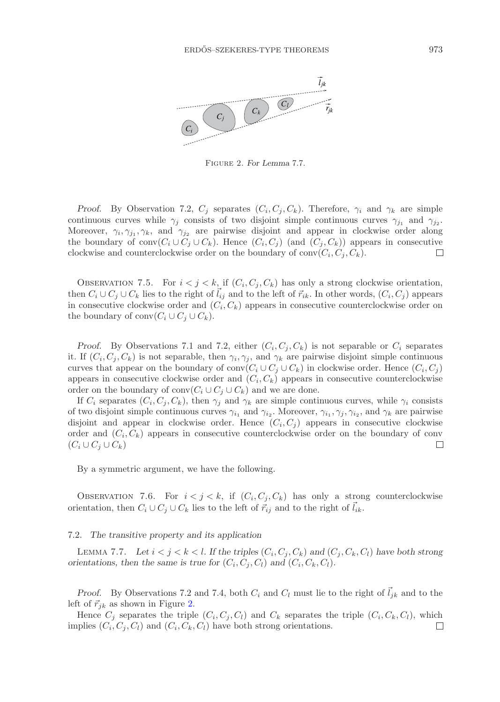

<span id="page-20-0"></span>Figure 2. *For Lemma* 7.7*.*

*Proof.* By Observation 7.2,  $C_i$  separates  $(C_i, C_j, C_k)$ . Therefore,  $\gamma_i$  and  $\gamma_k$  are simple continuous curves while  $\gamma_i$  consists of two disjoint simple continuous curves  $\gamma_{i_1}$  and  $\gamma_{i_2}$ . Moreover,  $\gamma_i, \gamma_{j1}, \gamma_k$ , and  $\gamma_{j2}$  are pairwise disjoint and appear in clockwise order along the boundary of conv $(C_i \cup C_j \cup C_k)$ . Hence  $(C_i, C_j)$  (and  $(C_j, C_k)$ ) appears in consecutive clockwise and counterclockwise order on the boundary of  $conv(C_i, C_j, C_k)$ .  $\Box$ 

OBSERVATION 7.5. For  $i < j < k$ , if  $(C_i, C_j, C_k)$  has only a strong clockwise orientation, then  $C_i \cup C_j \cup C_k$  lies to the right of  $\vec{l}_{ij}$  and to the left of  $\vec{r}_{ik}$ . In other words,  $(C_i, C_j)$  appears in consecutive clockwise order and  $(C_i, C_k)$  appears in consecutive counterclockwise order on the boundary of conv $(C_i \cup C_j \cup C_k)$ .

*Proof.* By Observations 7.1 and 7.2, either  $(C_i, C_j, C_k)$  is not separable or  $C_i$  separates it. If  $(C_i, C_j, C_k)$  is not separable, then  $\gamma_i, \gamma_j$ , and  $\gamma_k$  are pairwise disjoint simple continuous curves that appear on the boundary of conv $(C_i \cup C_j \cup C_k)$  in clockwise order. Hence  $(C_i, C_j)$ appears in consecutive clockwise order and  $(C_i, C_k)$  appears in consecutive counterclockwise order on the boundary of  $conv(C_i \cup C_j \cup C_k)$  and we are done.

If  $C_i$  separates  $(C_i, C_j, C_k)$ , then  $\gamma_i$  and  $\gamma_k$  are simple continuous curves, while  $\gamma_i$  consists of two disjoint simple continuous curves  $\gamma_{i_1}$  and  $\gamma_{i_2}$ . Moreover,  $\gamma_{i_1}, \gamma_{j}, \gamma_{i_2}$ , and  $\gamma_k$  are pairwise disjoint and appear in clockwise order. Hence  $(C_i, C_j)$  appears in consecutive clockwise order and  $(C_i, C_k)$  appears in consecutive counterclockwise order on the boundary of conv  $(C_i \cup C_j \cup C_k)$  $\Box$ 

By a symmetric argument, we have the following.

OBSERVATION 7.6. For  $i < j < k$ , if  $(C_i, C_j, C_k)$  has only a strong counterclockwise orientation, then  $C_i \cup C_j \cup C_k$  lies to the left of  $\vec{r}_{ij}$  and to the right of  $l_{ik}$ .

#### 7.2. *The transitive property and its application*

LEMMA 7.7. Let  $i < j < k < l$ . If the triples  $(C_i, C_j, C_k)$  and  $(C_j, C_k, C_l)$  have both strong *orientations, then the same is true for*  $(C_i, C_j, C_l)$  *and*  $(C_i, C_k, C_l)$ *.* 

*Proof.* By Observations 7.2 and 7.4, both  $C_i$  and  $C_l$  must lie to the right of  $\vec{l}_{jk}$  and to the left of  $\vec{r}_{ik}$  as shown in Figure [2.](#page-20-0)

Hence  $C_j$  separates the triple  $(C_i, C_j, C_l)$  and  $C_k$  separates the triple  $(C_i, C_k, C_l)$ , which implies  $(C_i, C_j, C_l)$  and  $(C_i, C_k, C_l)$  have both strong orientations.  $\Box$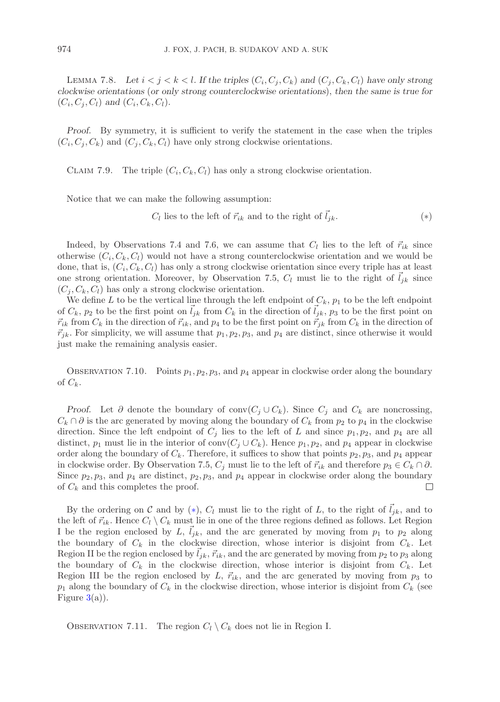LEMMA 7.8. Let  $i < j < k < l$ . If the triples  $(C_i, C_j, C_k)$  and  $(C_j, C_k, C_l)$  have only strong *clockwise orientations* (*or only strong counterclockwise orientations*), *then the same is true for*  $(C_i, C_i, C_l)$  and  $(C_i, C_k, C_l)$ .

*Proof.* By symmetry, it is sufficient to verify the statement in the case when the triples  $(C_i, C_i, C_k)$  and  $(C_i, C_k, C_l)$  have only strong clockwise orientations.

CLAIM 7.9. The triple  $(C_i, C_k, C_l)$  has only a strong clockwise orientation.

Notice that we can make the following assumption:

<span id="page-21-0"></span> $C_l$  lies to the left of  $\vec{r}_{ik}$  and to the right of  $\vec{l}_{ik}$ . (\*)

Indeed, by Observations 7.4 and 7.6, we can assume that  $C_l$  lies to the left of  $\vec{r}_{ik}$  since otherwise  $(C_i, C_k, C_l)$  would not have a strong counterclockwise orientation and we would be done, that is,  $(C_i, C_k, C_l)$  has only a strong clockwise orientation since every triple has at least one strong orientation. Moreover, by Observation 7.5,  $C_l$  must lie to the right of  $\tilde{l}_{ik}$  since  $(C_i, C_k, C_l)$  has only a strong clockwise orientation.

We define L to be the vertical line through the left endpoint of  $C_k$ ,  $p_1$  to be the left endpoint of  $C_k$ ,  $p_2$  to be the first point on  $l_{jk}$  from  $C_k$  in the direction of  $l_{jk}$ ,  $p_3$  to be the first point on  $\vec{r}_{ik}$  from  $C_k$  in the direction of  $\vec{r}_{ik}$ , and  $p_4$  to be the first point on  $\vec{r}_{jk}$  from  $C_k$  in the direction of  $\vec{r}_{jk}$ . For simplicity, we will assume that  $p_1, p_2, p_3$ , and  $p_4$  are distinct, since otherwise it would just make the remaining analysis easier.

OBSERVATION 7.10. Points  $p_1, p_2, p_3$ , and  $p_4$  appear in clockwise order along the boundary of  $C_k$ .

*Proof.* Let  $\partial$  denote the boundary of conv $(C_j \cup C_k)$ . Since  $C_j$  and  $C_k$  are noncrossing,  $C_k \cap \partial$  is the arc generated by moving along the boundary of  $C_k$  from  $p_2$  to  $p_4$  in the clockwise direction. Since the left endpoint of  $C_i$  lies to the left of L and since  $p_1, p_2$ , and  $p_4$  are all distinct,  $p_1$  must lie in the interior of conv $(C_i \cup C_k)$ . Hence  $p_1, p_2$ , and  $p_4$  appear in clockwise order along the boundary of  $C_k$ . Therefore, it suffices to show that points  $p_2, p_3$ , and  $p_4$  appear in clockwise order. By Observation 7.5,  $C_i$  must lie to the left of  $\vec{r}_{ik}$  and therefore  $p_3 \in C_k \cap \partial$ . Since  $p_2, p_3$ , and  $p_4$  are distinct,  $p_2, p_3$ , and  $p_4$  appear in clockwise order along the boundary of  $C_k$  and this completes the proof. of C*<sup>k</sup>* and this completes the proof.

By the ordering on C and by  $(*)$ ,  $C_l$  must lie to the right of L, to the right of  $l_{jk}$ , and to the left of  $\vec{r}_{ik}$ . Hence  $C_l \setminus C_k$  must lie in one of the three regions defined as follows. Let Region I be the region enclosed by  $L$ ,  $l_{jk}$ , and the arc generated by moving from  $p_1$  to  $p_2$  along the boundary of  $C_k$  in the clockwise direction, whose interior is disjoint from  $C_k$ . Let Region II be the region enclosed by  $l_{jk}$ ,  $\vec{r}_{ik}$ , and the arc generated by moving from  $p_2$  to  $p_3$  along the boundary of  $C_k$  in the clockwise direction, whose interior is disjoint from  $C_k$ . Let Region III be the region enclosed by  $L, \, \vec{r}_{ik}$ , and the arc generated by moving from  $p_3$  to  $p_1$  along the boundary of  $C_k$  in the clockwise direction, whose interior is disjoint from  $C_k$  (see Figure  $3(a)$  $3(a)$ ).

OBSERVATION 7.11. The region  $C_l \setminus C_k$  does not lie in Region I.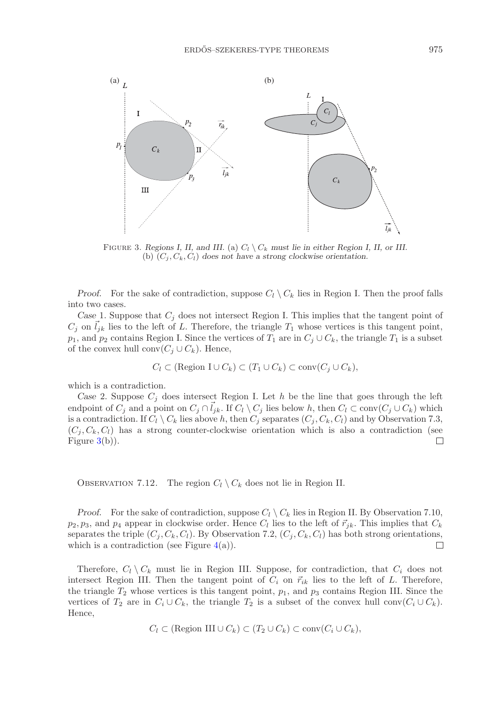

<span id="page-22-0"></span>FIGURE 3. *Regions I, II, and III.* (a)  $C_l \setminus C_k$  *must lie in either Region I, II, or III.* (b)  $(C_i, C_k, C_l)$  does not have a strong clockwise orientation.

*Proof.* For the sake of contradiction, suppose  $C_l \setminus C_k$  lies in Region I. Then the proof falls into two cases.

*Case* 1. Suppose that C*<sup>j</sup>* does not intersect Region I. This implies that the tangent point of  $C_j$  on  $l_{jk}$  lies to the left of L. Therefore, the triangle  $T_1$  whose vertices is this tangent point,  $p_1$ , and  $p_2$  contains Region I. Since the vertices of  $T_1$  are in  $C_j \cup C_k$ , the triangle  $T_1$  is a subset of the convex bull conv $(C \cup C)$ . Hence of the convex hull conv $(C_j \cup C_k)$ . Hence,

$$
C_l \subset (\text{Region } I \cup C_k) \subset (T_1 \cup C_k) \subset \text{conv}(C_j \cup C_k),
$$

which is a contradiction.

*Case* 2. Suppose  $C_j$  does intersect Region I. Let h be the line that goes through the left endpoint of  $C_j$  and a point on  $C_j \cap \bar{l}_{jk}$ . If  $C_l \setminus C_j$  lies below h, then  $C_l \subset \text{conv}(C_j \cup C_k)$  which is a contradiction. If  $C_l \setminus C_k$  lies above h, then  $C_j$  separates  $(C_j, C_k, C_l)$  and by Observation 7.3,  $(C_j, C_k, C_l)$  has a strong counter-clockwise orientation which is also a contradiction (see Figure  $3(b)$  $3(b)$ ).  $\mathcal{L}$ 

OBSERVATION 7.12. The region  $C_l \setminus C_k$  does not lie in Region II.

*Proof.* For the sake of contradiction, suppose  $C_l \setminus C_k$  lies in Region II. By Observation 7.10,  $p_2, p_3$ , and  $p_4$  appear in clockwise order. Hence  $C_l$  lies to the left of  $\vec{r}_{jk}$ . This implies that  $C_k$ <br>convertes the triple  $(C, C, C)$ . By Observation 7.2,  $(C, C, C)$  here both strong evigations separates the triple  $(C_i, C_k, C_l)$ . By Observation 7.2,  $(C_i, C_k, C_l)$  has both strong orientations, which is a contradiction (see Figure  $4(a)$  $4(a)$ ).  $\Box$ 

Therefore,  $C_l \setminus C_k$  must lie in Region III. Suppose, for contradiction, that  $C_i$  does not intersect Region III. Then the tangent point of  $C_i$  on  $\vec{r}_{ik}$  lies to the left of L. Therefore, the triangle  $T_2$  whose vertices is this tangent point,  $p_1$ , and  $p_3$  contains Region III. Since the vertices of  $T_2$  are in  $C_i \cup C_k$ , the triangle  $T_2$  is a subset of the convex hull conv $(C_i \cup C_k)$ . Hence,

$$
C_l \subset (\text{Region III}\cup C_k) \subset (T_2 \cup C_k) \subset \text{conv}(C_i\cup C_k),
$$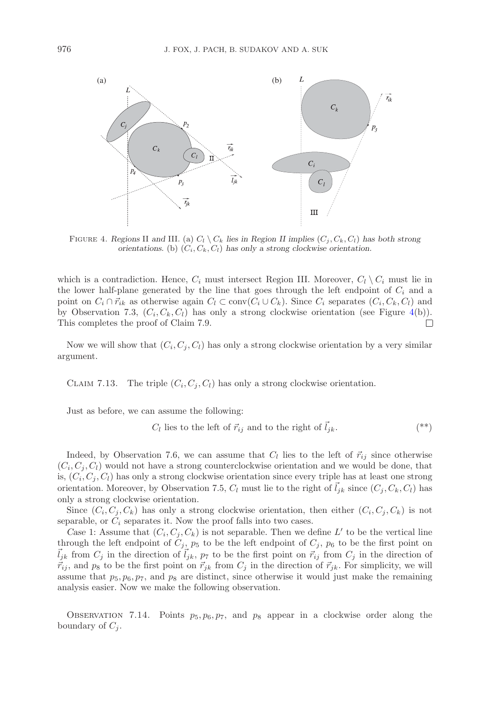

<span id="page-23-0"></span>FIGURE 4. *Regions* II and III. (a)  $C_l \ C_k$  *lies in Region II implies*  $(C_i, C_k, C_l)$  *has both strong orientations.* (b) (*Ci, Ck, Cl*) *has only a strong clockwise orientation.*

which is a contradiction. Hence,  $C_i$  must intersect Region III. Moreover,  $C_l \setminus C_i$  must lie in the lower half-plane generated by the line that goes through the left endpoint of  $C_i$  and a point on  $C_i \cap \vec{r}_{ik}$  as otherwise again  $C_l \subset \text{conv}(C_i \cup C_k)$ . Since  $C_i$  separates  $(C_i, C_k, C_l)$  and by Observation 7.3,  $(C_i, C_k, C_l)$  has only a strong clockwise orientation (see Figure [4\(](#page-23-0)b)). This completes the proof of Claim 7.9.  $\Box$ 

Now we will show that  $(C_i, C_i, C_l)$  has only a strong clockwise orientation by a very similar argument.

CLAIM 7.13. The triple  $(C_i, C_i, C_l)$  has only a strong clockwise orientation.

Just as before, we can assume the following:

<span id="page-23-1"></span>
$$
C_l
$$
 lies to the left of  $\vec{r}_{ij}$  and to the right of  $\vec{l}_{jk}$ . (\*)

Indeed, by Observation 7.6, we can assume that  $C_l$  lies to the left of  $\vec{r}_{ij}$  since otherwise  $(C_i, C_i, C_l)$  would not have a strong counterclockwise orientation and we would be done, that is,  $(C_i, C_j, C_l)$  has only a strong clockwise orientation since every triple has at least one strong orientation. Moreover, by Observation 7.5,  $C_l$  must lie to the right of  $l_{jk}$  since  $(C_j, C_k, C_l)$  has only a strong clockwise orientation.

Since  $(C_i, C_j, C_k)$  has only a strong clockwise orientation, then either  $(C_i, C_j, C_k)$  is not separable, or  $C_i$  separates it. Now the proof falls into two cases.

Case 1: Assume that  $(C_i, C_j, C_k)$  is not separable. Then we define L' to be the vertical line through the left endpoint of  $C_j$ ,  $p_5$  to be the left endpoint of  $C_j$ ,  $p_6$  to be the first point on  $l_{jk}$  from  $C_j$  in the direction of  $l_{jk}$ ,  $p_7$  to be the first point on  $\vec{r}_{ij}$  from  $C_j$  in the direction of  $\vec{r}_{ij}$ , and  $p_8$  to be the first point on  $\vec{r}_{jk}$  from  $C_j$  in the direction of  $\vec{r}_{jk}$ . For simplicity, we will assume that  $p_5, p_6, p_7$ , and  $p_8$  are distinct, since otherwise it would just make the remaining analysis easier. Now we make the following observation.

OBSERVATION 7.14. Points  $p_5, p_6, p_7$ , and  $p_8$  appear in a clockwise order along the boundary of  $C_j$ .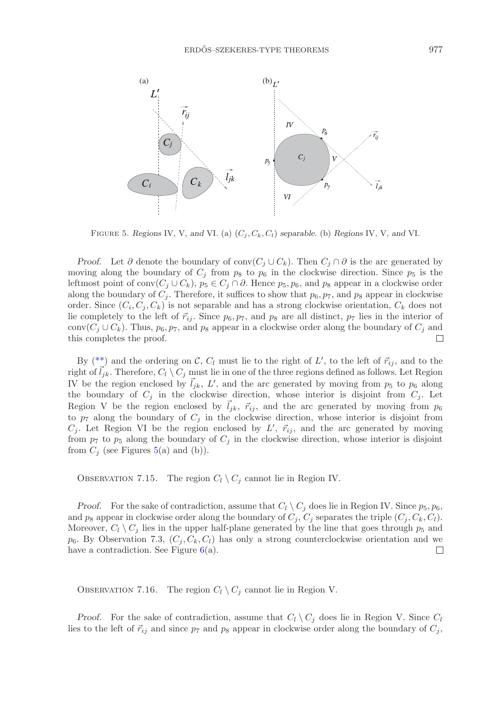

<span id="page-24-0"></span>FIGURE 5. *Regions* IV, V, and VI. (a)  $(C_j, C_k, C_l)$  *separable.* (b) *Regions* IV, V, and VI.

*Proof.* Let  $\partial$  denote the boundary of conv $(C_j \cup C_k)$ . Then  $C_j \cap \partial$  is the arc generated by moving along the boundary of  $C_j$  from  $p_8$  to  $p_6$  in the clockwise direction. Since  $p_5$  is the leftmost point of conv $(C_j \cup C_k)$ ,  $p_5 \in C_j \cap \partial$ . Hence  $p_5, p_6$ , and  $p_8$  appear in a clockwise order along the boundary of  $C_j$ . Therefore, it suffices to show that  $p_6, p_7$ , and  $p_8$  appear in clockwise order. Since  $(C_i, C_i, C_k)$  is not separable and has a strong clockwise orientation,  $C_k$  does not lie completely to the left of  $\vec{r}_{ij}$ . Since  $p_6, p_7$ , and  $p_8$  are all distinct,  $p_7$  lies in the interior of conv $(C_j \cup C_k)$ . Thus,  $p_6, p_7$ , and  $p_8$  appear in a clockwise order along the boundary of  $C_j$  and this completes the proof. this completes the proof.

By  $(**)$  and the ordering on C,  $C_l$  must lie to the right of  $L'$ , to the left of  $\vec{r}_{ij}$ , and to the right of  $l_{jk}$ . Therefore,  $C_l \setminus C_j$  must lie in one of the three regions defined as follows. Let Region IV be the region enclosed by  $\vec{l}_{jk}$ ,  $\vec{L'}$ , and the arc generated by moving from  $p_5$  to  $p_6$  along<br>the houndary of  $\vec{C}$  in the electronic direction, where interior is disjoint from  $\vec{C}$ . Let the boundary of  $C_j$  in the clockwise direction, whose interior is disjoint from  $C_j$ . Let Region V be the region enclosed by  $\vec{l}_{jk}$ ,  $\vec{r}_{ij}$ , and the arc generated by moving from  $p_6$ to  $p_7$  along the boundary of  $C_i$  in the clockwise direction, whose interior is disjoint from  $C_j$ . Let Region VI be the region enclosed by  $L'$ ,  $\vec{r}_{ij}$ , and the arc generated by moving from  $p_7$  to  $p_5$  along the boundary of  $C_j$  in the clockwise direction, whose interior is disjoint from  $C_i$  (see Figures [5\(](#page-24-0)a) and (b)).

OBSERVATION 7.15. The region  $C_l \setminus C_j$  cannot lie in Region IV.

*Proof.* For the sake of contradiction, assume that  $C_l \setminus C_j$  does lie in Region IV. Since  $p_5, p_6$ , and  $p_8$  appear in clockwise order along the boundary of  $C_j$ ,  $C_j$  separates the triple  $(C_j, C_k, C_l)$ . Moreover,  $C_l \setminus C_j$  lies in the upper half-plane generated by the line that goes through  $p_5$  and  $p_6$ . By Observation 7.3,  $(C_j, C_k, C_l)$  has only a strong counterclockwise orientation and we have a contradiction. See Figure  $6(a)$  $6(a)$ .

OBSERVATION 7.16. The region  $C_l \setminus C_j$  cannot lie in Region V.

*Proof.* For the sake of contradiction, assume that  $C_l \setminus C_j$  does lie in Region V. Since  $C_l$ lies to the left of  $\vec{r}_{ij}$  and since  $p_7$  and  $p_8$  appear in clockwise order along the boundary of  $C_j$ ,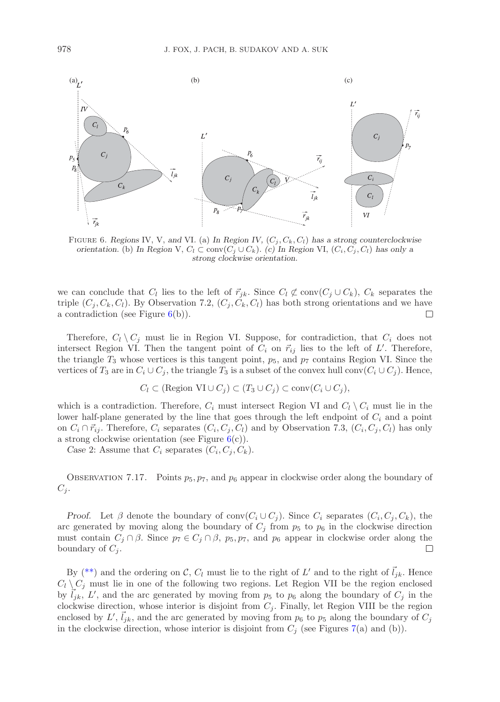

<span id="page-25-0"></span>FIGURE 6. Regions IV, V, and VI. (a) In Region IV,  $(C_i, C_k, C_l)$  has a strong counterclockwise *orientation.* (b) In Region V,  $C_l \subset \text{conv}(C_j \cup C_k)$ . (c) In Region VI,  $(C_i, C_j, C_l)$  has only a *strong clockwise orientation.*

we can conclude that  $C_l$  lies to the left of  $\vec{r}_{jk}$ . Since  $C_l \not\subset \text{conv}(C_j \cup C_k)$ ,  $C_k$  separates the triple  $(C_i, C_k, C_l)$ . By Observation 7.2,  $(C_i, C_k, C_l)$  has both strong orientations and we have a contradiction (see Figure  $6(b)$  $6(b)$ ).  $\Box$ 

Therefore,  $C_l \setminus C_j$  must lie in Region VI. Suppose, for contradiction, that  $C_i$  does not intersect Region VI. Then the tangent point of  $C_i$  on  $\vec{r}_{ij}$  lies to the left of  $L'$ . Therefore, the triangle  $T_3$  whose vertices is this tangent point,  $p_5$ , and  $p_7$  contains Region VI. Since the vertices of  $T_3$  are in  $C_i \cup C_j$ , the triangle  $T_3$  is a subset of the convex hull conv $(C_i \cup C_j)$ . Hence,

$$
C_l \subset (\text{Region VI}\cup C_j) \subset (T_3 \cup C_j) \subset \text{conv}(C_i\cup C_j),
$$

which is a contradiction. Therefore,  $C_i$  must intersect Region VI and  $C_l \setminus C_i$  must lie in the lower half-plane generated by the line that goes through the left endpoint of  $C_i$  and a point on  $C_i \cap \vec{r}_{ij}$ . Therefore,  $C_i$  separates  $(C_i, C_j, C_l)$  and by Observation 7.3,  $(C_i, C_j, C_l)$  has only a strong clockwise orientation (see Figure  $6(c)$  $6(c)$ ).

*Case* 2: Assume that  $C_i$  separates  $(C_i, C_j, C_k)$ .

OBSERVATION 7.17. Points  $p_5$ ,  $p_7$ , and  $p_6$  appear in clockwise order along the boundary of  $C_i$ .

*Proof.* Let  $\beta$  denote the boundary of conv $(C_i \cup C_j)$ . Since  $C_i$  separates  $(C_i, C_j, C_k)$ , the arc generated by moving along the boundary of  $C_i$  from  $p_5$  to  $p_6$  in the clockwise direction must contain  $C_j \cap \beta$ . Since  $p_7 \in C_j \cap \beta$ ,  $p_5, p_7$ , and  $p_6$  appear in clockwise order along the boundary of  $C_i$ . boundary of  $C_i$ .

By [\(\\*\\*\)](#page-23-1) and the ordering on C,  $C_l$  must lie to the right of  $L'$  and to the right of  $\vec{l}_{jk}$ . Hence  $C_l \setminus C_j$  must lie in one of the following two regions. Let Region VII be the region enclosed  $\overline{l}_{jk}$ , L', and the arc generated by moving from  $p_5$  to  $p_6$  along the boundary of  $C_j$  in the solution direction where interior is disjoint from  $C$ . Finally, let Region MII be the persion clockwise direction, whose interior is disjoint from  $C_j$ . Finally, let Region VIII be the region enclosed by  $L'$  $l$ ,  $\vec{l}_{jk}$ , and the arc generated by moving from  $p_6$  to  $p_5$  along the boundary of  $C_j$ <br>direction whose interior is direction from  $Q_6$  (see Figures 7(s) and (h)) in the clockwise direction, whose interior is disjoint from  $C_j$  (see Figures [7\(](#page-26-0)a) and (b)).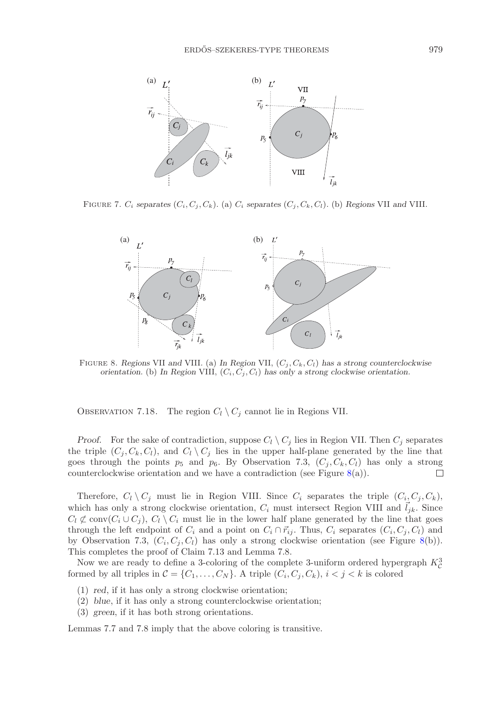

FIGURE 7.  $C_i$  separates  $(C_i, C_i, C_k)$ . (a)  $C_i$  separates  $(C_i, C_k, C_l)$ . (b) Regions VII and VIII.

<span id="page-26-0"></span>

<span id="page-26-1"></span>Figure 8. *Regions* VII *and* VIII*.* (a) *In Region* VII, (*C<sup>j</sup> , Ck, Cl*) *has a strong counterclockwise orientation.* (b) In Region VIII,  $(C_i, C_j, C_l)$  has only a strong clockwise orientation.

OBSERVATION 7.18. The region  $C_l \setminus C_j$  cannot lie in Regions VII.

*Proof.* For the sake of contradiction, suppose  $C_l \setminus C_j$  lies in Region VII. Then  $C_j$  separates the triple  $(C_j, C_k, C_l)$ , and  $C_l \setminus C_j$  lies in the upper half-plane generated by the line that goes through the points  $p_5$  and  $p_6$ . By Observation 7.3,  $(C_j, C_k, C_l)$  has only a strong counterclockwise orientation and we have a contradiction (see Figure 8(a)). counterclockwise orientation and we have a contradiction (see Figure  $8(a)$  $8(a)$ ).

Therefore,  $C_l \setminus C_j$  must lie in Region VIII. Since  $C_i$  separates the triple  $(C_i, C_j, C_k)$ , which has only a strong clockwise orientation,  $C_i$  must intersect Region VIII and  $l_{jk}$ . Since  $C_l \not\subset \text{conv}(C_i \cup C_j)$ ,  $C_l \setminus C_i$  must lie in the lower half plane generated by the line that goes through the left endpoint of  $C_i$  and a point on  $C_i \cap \vec{r}_{ij}$ . Thus,  $C_i$  separates  $(C_i, C_j, C_l)$  and by Observation 7.3,  $(C_i, C_j, C_l)$  has only a strong clockwise orientation (see Figure [8\(](#page-26-1)b)). This completes the proof of Claim 7.13 and Lemma 7.8.

Now we are ready to define a 3-coloring of the complete 3-uniform ordered hypergraph  $K_C^3$ formed by all triples in  $\mathcal{C} = \{C_1, \ldots, C_N\}$ . A triple  $(C_i, C_j, C_k)$ ,  $i < j < k$  is colored

- (1) *red*, if it has only a strong clockwise orientation;
- (2) *blue*, if it has only a strong counterclockwise orientation;
- (3) *green*, if it has both strong orientations.

Lemmas 7.7 and 7.8 imply that the above coloring is transitive.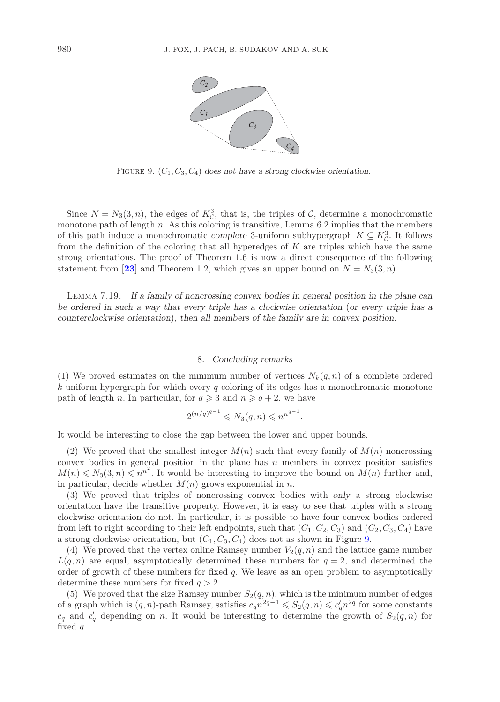

<span id="page-27-0"></span>Figure 9. (*C*1*, C*3*, C*4) *does not have a strong clockwise orientation.*

Since  $N = N_3(3, n)$ , the edges of  $K_c^3$ , that is, the triples of C, determine a monochromatic monotone path of length  $n$ . As this coloring is transitive, Lemma 6.2 implies that the members of this path induce a monochromatic *complete* 3-uniform subhypergraph  $K \subseteq K_C^3$ . It follows from the definition of the coloring that all hyperedges of  $K$  are triples which have the same strong orientations. The proof of Theorem 1.6 is now a direct consequence of the following statement from [[23](#page-28-11)] and Theorem 1.2, which gives an upper bound on  $N = N_3(3, n)$ .

Lemma 7.19. *If a family of noncrossing convex bodies in general position in the plane can be ordered in such a way that every triple has a clockwise orientation* (*or every triple has a counterclockwise orientation*), *then all members of the family are in convex position.*

#### 8. *Concluding remarks*

(1) We proved estimates on the minimum number of vertices  $N_k(q, n)$  of a complete ordered  $k$ -uniform hypergraph for which every  $q$ -coloring of its edges has a monochromatic monotone path of length *n*. In particular, for  $q \ge 3$  and  $n \ge q+2$ , we have

$$
2^{(n/q)^{q-1}} \leq N_3(q, n) \leq n^{n^{q-1}}.
$$

It would be interesting to close the gap between the lower and upper bounds.

(2) We proved that the smallest integer  $M(n)$  such that every family of  $M(n)$  noncrossing convex bodies in general position in the plane has  $n$  members in convex position satisfies  $M(n) \leq N_3(3, n) \leq n^{n^2}$ . It would be interesting to improve the bound on  $M(n)$  further and, in particular, decide whether  $M(n)$  grows exponential in n.

(3) We proved that triples of noncrossing convex bodies with *only* a strong clockwise orientation have the transitive property. However, it is easy to see that triples with a strong clockwise orientation do not. In particular, it is possible to have four convex bodies ordered from left to right according to their left endpoints, such that  $(C_1, C_2, C_3)$  and  $(C_2, C_3, C_4)$  have a strong clockwise orientation, but  $(C_1, C_3, C_4)$  does not as shown in Figure [9.](#page-27-0)

(4) We proved that the vertex online Ramsey number  $V_2(q, n)$  and the lattice game number  $L(q, n)$  are equal, asymptotically determined these numbers for  $q = 2$ , and determined the order of growth of these numbers for fixed  $q$ . We leave as an open problem to asymptotically determine these numbers for fixed  $q > 2$ .

(5) We proved that the size Ramsey number  $S_2(q, n)$ , which is the minimum number of edges of a graph which is  $(q, n)$ -path Ramsey, satisfies  $c_q n^{2q-1} \leqslant S_2(q, n) \leqslant c'_q n^{2q}$  for some constants  $c_q$  and  $c'_q$  depending on n. It would be interesting to determine the growth of  $S_2(q, n)$  for fixed  $q$ .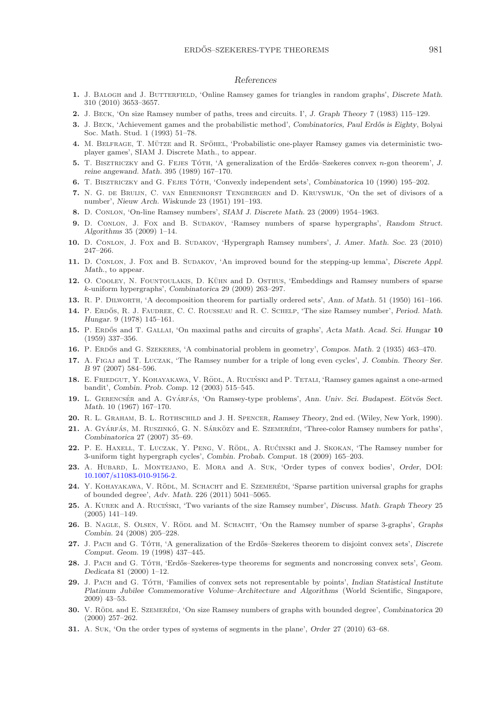### *References*

- <span id="page-28-20"></span>**1.** J. Balogh and J. Butterfield, 'Online Ramsey games for triangles in random graphs', *Discrete Math.* 310 (2010) 3653–3657.
- <span id="page-28-17"></span><span id="page-28-14"></span>**2.** J. Beck, 'On size Ramsey number of paths, trees and circuits. I', *J. Graph Theory* 7 (1983) 115–129.
- **3.** J. BECK, 'Achievement games and the probabilistic method', *Combinatorics*, Paul Erdős is Eighty, Bolyai Soc. Math. Stud. 1 (1993) 51–78.
- <span id="page-28-23"></span><span id="page-28-21"></span>**4.** M. BELFRAGE, T. MÜTZE and R. SPÖHEL, 'Probabilistic one-player Ramsey games via deterministic twoplayer games', SIAM J. Discrete Math., to appear.
- **5.** T. BISZTRICZKY and G. FEJES TÓTH, 'A generalization of the Erdős–Szekeres convex *n*-gon theorem', *J. reine angewand. Math.* 395 (1989) 167–170.
- <span id="page-28-28"></span><span id="page-28-24"></span>**6.** T. Bisztriczky and G. Fejes Toth ´ , 'Convexly independent sets', *Combinatorica* 10 (1990) 195–202.
- **7.** N. G. de Bruijn, C. van Ebbenhorst Tengbergen and D. Kruyswijk, 'On the set of divisors of a number', *Nieuw Arch. Wiskunde* 23 (1951) 191–193.
- <span id="page-28-19"></span><span id="page-28-10"></span>**8.** D. Conlon, 'On-line Ramsey numbers', *SIAM J. Discrete Math.* 23 (2009) 1954–1963.
- **9.** D. Conlon, J. Fox and B. Sudakov, 'Ramsey numbers of sparse hypergraphs', *Random Struct. Algorithms* 35 (2009) 1–14.
- <span id="page-28-27"></span><span id="page-28-12"></span>**10.** D. Conlon, J. Fox and B. Sudakov, 'Hypergraph Ramsey numbers', *J. Amer. Math. Soc.* 23 (2010) 247–266.
- **11.** D. Conlon, J. Fox and B. Sudakov, 'An improved bound for the stepping-up lemma', *Discrete Appl. Math.*, to appear.
- <span id="page-28-9"></span>12. O. COOLEY, N. FOUNTOULAKIS, D. KÜHN and D. OSTHUS, 'Embeddings and Ramsey numbers of sparse *k*-uniform hypergraphs', *Combinatorica* 29 (2009) 263–297.
- <span id="page-28-13"></span><span id="page-28-6"></span>**13.** R. P. Dilworth, 'A decomposition theorem for partially ordered sets', *Ann. of Math.* 51 (1950) 161–166.
- 14. P. ERDŐS, R. J. FAUDREE, C. C. ROUSSEAU and R. C. SCHELP, 'The size Ramsey number', *Period. Math. Hungar.* 9 (1978) 145–161.
- <span id="page-28-5"></span>**15.** P. Erdos˝ and T. Gallai, 'On maximal paths and circuits of graphs', *Acta Math. Acad. Sci. Hungar* **10** (1959) 337–356.
- <span id="page-28-3"></span><span id="page-28-0"></span>**16.** P. Erdos˝ and G. Szekeres, 'A combinatorial problem in geometry', *Compos. Math.* 2 (1935) 463–470.
- 17. A. FIGAJ and T. LUCZAK, 'The Ramsey number for a triple of long even cycles', *J. Combin. Theory Ser. B* 97 (2007) 584–596.
- <span id="page-28-22"></span>18. E. FRIEDGUT, Y. KOHAYAKAWA, V. RÖDL, A. RUCIŃSKI and P. TETALI, 'Ramsey games against a one-armed bandit', *Combin. Prob. Comp.* 12 (2003) 515–545.
- <span id="page-28-2"></span>19. L. GERENCSÉR and A. GYÁRFÁS, 'On Ramsey-type problems', *Ann. Univ. Sci. Budapest. Eötvös Sect. Math.* 10 (1967) 167–170.
- <span id="page-28-4"></span><span id="page-28-1"></span>**20.** R. L. Graham, B. L. Rothschild and J. H. Spencer, *Ramsey Theory*, 2nd ed. (Wiley, New York, 1990).
- **21.** A. Gyárfás, M. Ruszinkó, G. N. Sárközy and E. Szemerépi, 'Three-color Ramsey numbers for paths', *Combinatorica* 27 (2007) 35–69.
- <span id="page-28-7"></span>22. P. E. HAXELL, T. LUCZAK, Y. PENG, V. RÖDL, A. RUĆINSKI and J. SKOKAN, 'The Ramsey number for 3-uniform tight hypergraph cycles', *Combin. Probab. Comput.* 18 (2009) 165–203.
- <span id="page-28-11"></span>**23.** A. Hubard, L. Montejano, E. Mora and A. Suk, 'Order types of convex bodies', *Order*, DOI: [10.1007/s11083-010-9156-2.](#page-0-0)
- <span id="page-28-16"></span>**24.** Y. KOHAYAKAWA, V. RÖDL, M. SCHACHT and E. SZEMERÉDI, 'Sparse partition universal graphs for graphs of bounded degree', *Adv. Math.* 226 (2011) 5041–5065.
- <span id="page-28-18"></span>25. A. KUREK and A. RUCIŃSKI, 'Two variants of the size Ramsey number', *Discuss. Math. Graph Theory* 25 (2005) 141–149.
- <span id="page-28-8"></span>26. B. NAGLE, S. OLSEN, V. RÖDL and M. SCHACHT, 'On the Ramsey number of sparse 3-graphs', *Graphs Combin.* 24 (2008) 205–228.
- <span id="page-28-25"></span>27. J. PACH and G. TÓTH, 'A generalization of the Erdős–Szekeres theorem to disjoint convex sets', *Discrete Comput. Geom.* 19 (1998) 437–445.
- <span id="page-28-26"></span>28. J. PACH and G. TÓTH, 'Erdős-Szekeres-type theorems for segments and noncrossing convex sets', *Geom. Dedicata* 81 (2000) 1–12.
- <span id="page-28-29"></span>**29.** J. PACH and G. TOTH, 'Families of convex sets not representable by points', *Indian Statistical Institute Platinum Jubilee Commemorative Volume–Architecture and Algorithms* (World Scientific, Singapore, 2009) 43–53.
- <span id="page-28-15"></span>**30.** V. RÖDL and E. SZEMERÉDI, 'On size Ramsey numbers of graphs with bounded degree', *Combinatorica* 20 (2000) 257–262.
- <span id="page-28-30"></span>**31.** A. Suk, 'On the order types of systems of segments in the plane', *Order* 27 (2010) 63–68.